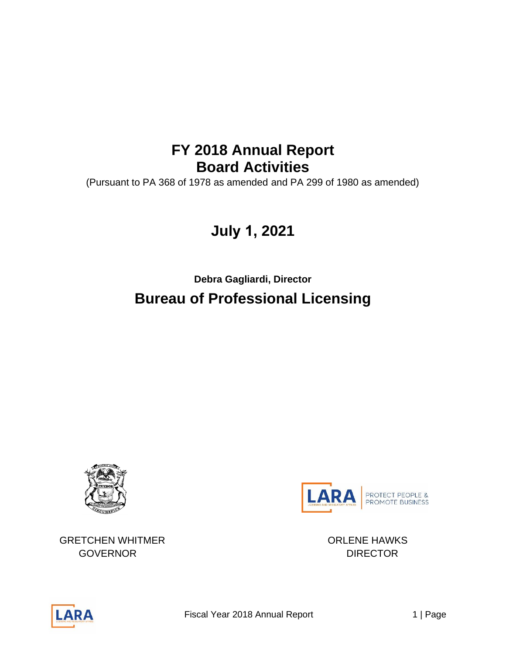# **FY 2018 Annual Report Board Activities**

(Pursuant to PA 368 of 1978 as amended and PA 299 of 1980 as amended)

# **July 1, 2021**

**Debra Gagliardi, Director Bureau of Professional Licensing** 





GRETCHEN WHITMER ORLENE HAWKS GOVERNOR DIRECTOR

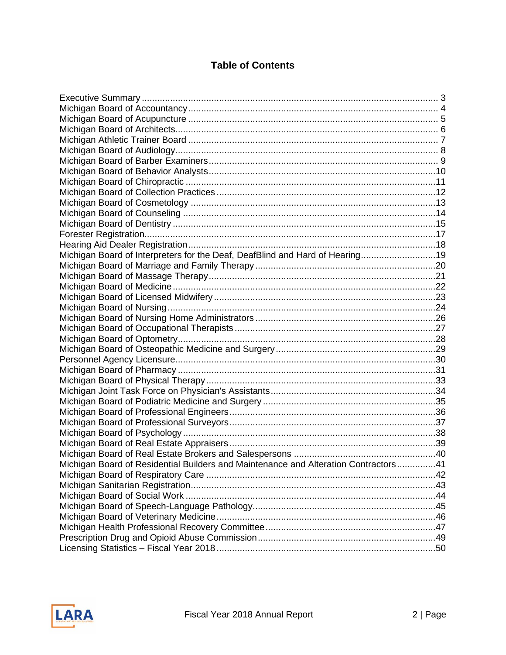## **Table of Contents**

| Michigan Board of Interpreters for the Deaf, DeafBlind and Hard of Hearing19        |  |
|-------------------------------------------------------------------------------------|--|
|                                                                                     |  |
|                                                                                     |  |
|                                                                                     |  |
|                                                                                     |  |
|                                                                                     |  |
|                                                                                     |  |
|                                                                                     |  |
|                                                                                     |  |
|                                                                                     |  |
|                                                                                     |  |
|                                                                                     |  |
|                                                                                     |  |
|                                                                                     |  |
|                                                                                     |  |
|                                                                                     |  |
|                                                                                     |  |
|                                                                                     |  |
|                                                                                     |  |
|                                                                                     |  |
| Michigan Board of Residential Builders and Maintenance and Alteration Contractors41 |  |
|                                                                                     |  |
|                                                                                     |  |
|                                                                                     |  |
|                                                                                     |  |
|                                                                                     |  |
|                                                                                     |  |
|                                                                                     |  |
|                                                                                     |  |
|                                                                                     |  |

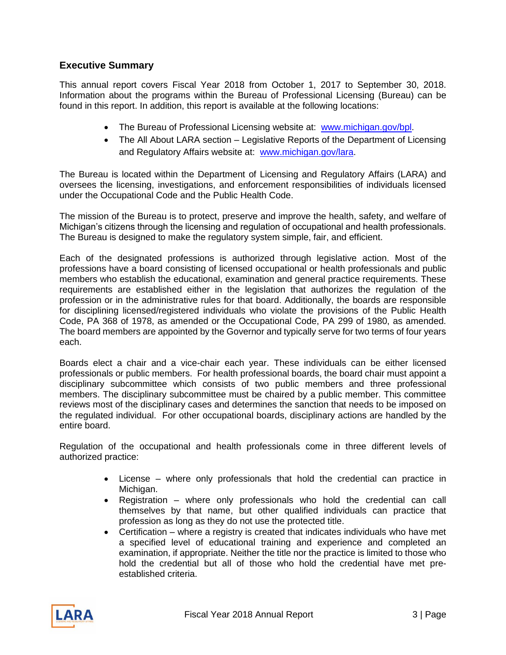#### <span id="page-2-0"></span>**Executive Summary**

This annual report covers Fiscal Year 2018 from October 1, 2017 to September 30, 2018. Information about the programs within the Bureau of Professional Licensing (Bureau) can be found in this report. In addition, this report is available at the following locations:

- The Bureau of Professional Licensing website at: [www.michigan.gov/bpl.](http://www.michigan.gov/bpl)
- The All About LARA section Legislative Reports of the Department of Licensing and Regulatory Affairs website at: [www.michigan.gov/lara.](http://www.michigan.gov/lara)

The Bureau is located within the Department of Licensing and Regulatory Affairs (LARA) and oversees the licensing, investigations, and enforcement responsibilities of individuals licensed under the Occupational Code and the Public Health Code.

The mission of the Bureau is to protect, preserve and improve the health, safety, and welfare of Michigan's citizens through the licensing and regulation of occupational and health professionals. The Bureau is designed to make the regulatory system simple, fair, and efficient.

Each of the designated professions is authorized through legislative action. Most of the professions have a board consisting of licensed occupational or health professionals and public members who establish the educational, examination and general practice requirements. These requirements are established either in the legislation that authorizes the regulation of the profession or in the administrative rules for that board. Additionally, the boards are responsible for disciplining licensed/registered individuals who violate the provisions of the Public Health Code, PA 368 of 1978, as amended or the Occupational Code, PA 299 of 1980, as amended. The board members are appointed by the Governor and typically serve for two terms of four years each.

Boards elect a chair and a vice-chair each year. These individuals can be either licensed professionals or public members. For health professional boards, the board chair must appoint a disciplinary subcommittee which consists of two public members and three professional members. The disciplinary subcommittee must be chaired by a public member. This committee reviews most of the disciplinary cases and determines the sanction that needs to be imposed on the regulated individual. For other occupational boards, disciplinary actions are handled by the entire board.

Regulation of the occupational and health professionals come in three different levels of authorized practice:

- License where only professionals that hold the credential can practice in Michigan.
- Registration where only professionals who hold the credential can call themselves by that name, but other qualified individuals can practice that profession as long as they do not use the protected title.
- Certification where a registry is created that indicates individuals who have met a specified level of educational training and experience and completed an examination, if appropriate. Neither the title nor the practice is limited to those who hold the credential but all of those who hold the credential have met preestablished criteria.

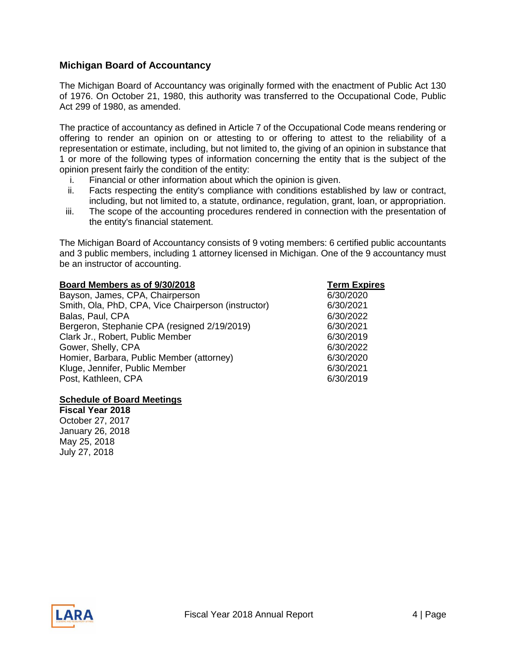#### <span id="page-3-0"></span>**Michigan Board of Accountancy**

The Michigan Board of Accountancy was originally formed with the enactment of Public Act 130 of 1976. On October 21, 1980, this authority was transferred to the Occupational Code, Public Act 299 of 1980, as amended.

The practice of accountancy as defined in Article 7 of the Occupational Code means rendering or offering to render an opinion on or attesting to or offering to attest to the reliability of a representation or estimate, including, but not limited to, the giving of an opinion in substance that 1 or more of the following types of information concerning the entity that is the subject of the opinion present fairly the condition of the entity:

- i. Financial or other information about which the opinion is given.
- ii. Facts respecting the entity's compliance with conditions established by law or contract, including, but not limited to, a statute, ordinance, regulation, grant, loan, or appropriation.
- iii. The scope of the accounting procedures rendered in connection with the presentation of the entity's financial statement.

The Michigan Board of Accountancy consists of 9 voting members: 6 certified public accountants and 3 public members, including 1 attorney licensed in Michigan. One of the 9 accountancy must be an instructor of accounting.

| Board Members as of 9/30/2018                       | <b>Term Expires</b> |
|-----------------------------------------------------|---------------------|
| Bayson, James, CPA, Chairperson                     | 6/30/2020           |
| Smith, Ola, PhD, CPA, Vice Chairperson (instructor) | 6/30/2021           |
| Balas, Paul, CPA                                    | 6/30/2022           |
| Bergeron, Stephanie CPA (resigned 2/19/2019)        | 6/30/2021           |
| Clark Jr., Robert, Public Member                    | 6/30/2019           |
| Gower, Shelly, CPA                                  | 6/30/2022           |
| Homier, Barbara, Public Member (attorney)           | 6/30/2020           |
| Kluge, Jennifer, Public Member                      | 6/30/2021           |
| Post, Kathleen, CPA                                 | 6/30/2019           |

#### **Schedule of Board Meetings**

**Fiscal Year 2018** October 27, 2017 January 26, 2018 May 25, 2018 July 27, 2018

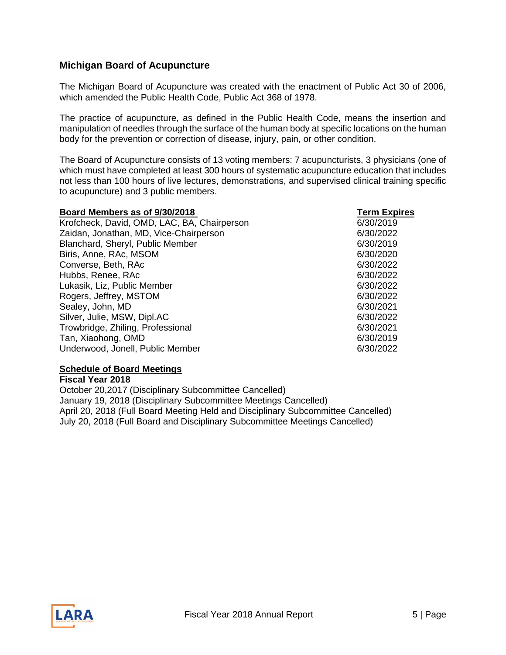#### <span id="page-4-0"></span>**Michigan Board of Acupuncture**

The Michigan Board of Acupuncture was created with the enactment of Public Act 30 of 2006, which amended the Public Health Code, Public Act 368 of 1978.

The practice of acupuncture, as defined in the Public Health Code, means the insertion and manipulation of needles through the surface of the human body at specific locations on the human body for the prevention or correction of disease, injury, pain, or other condition.

The Board of Acupuncture consists of 13 voting members: 7 acupuncturists, 3 physicians (one of which must have completed at least 300 hours of systematic acupuncture education that includes not less than 100 hours of live lectures, demonstrations, and supervised clinical training specific to acupuncture) and 3 public members.

| Board Members as of 9/30/2018               | <b>Term Expires</b> |
|---------------------------------------------|---------------------|
| Krofcheck, David, OMD, LAC, BA, Chairperson | 6/30/2019           |
| Zaidan, Jonathan, MD, Vice-Chairperson      | 6/30/2022           |
| Blanchard, Sheryl, Public Member            | 6/30/2019           |
| Biris, Anne, RAc, MSOM                      | 6/30/2020           |
| Converse, Beth, RAc                         | 6/30/2022           |
| Hubbs, Renee, RAc                           | 6/30/2022           |
| Lukasik, Liz, Public Member                 | 6/30/2022           |
| Rogers, Jeffrey, MSTOM                      | 6/30/2022           |
| Sealey, John, MD                            | 6/30/2021           |
| Silver, Julie, MSW, Dipl.AC                 | 6/30/2022           |
| Trowbridge, Zhiling, Professional           | 6/30/2021           |
| Tan, Xiaohong, OMD                          | 6/30/2019           |
| Underwood, Jonell, Public Member            | 6/30/2022           |

#### **Schedule of Board Meetings**

**Fiscal Year 2018** October 20,2017 (Disciplinary Subcommittee Cancelled) January 19, 2018 (Disciplinary Subcommittee Meetings Cancelled) April 20, 2018 (Full Board Meeting Held and Disciplinary Subcommittee Cancelled) July 20, 2018 (Full Board and Disciplinary Subcommittee Meetings Cancelled)

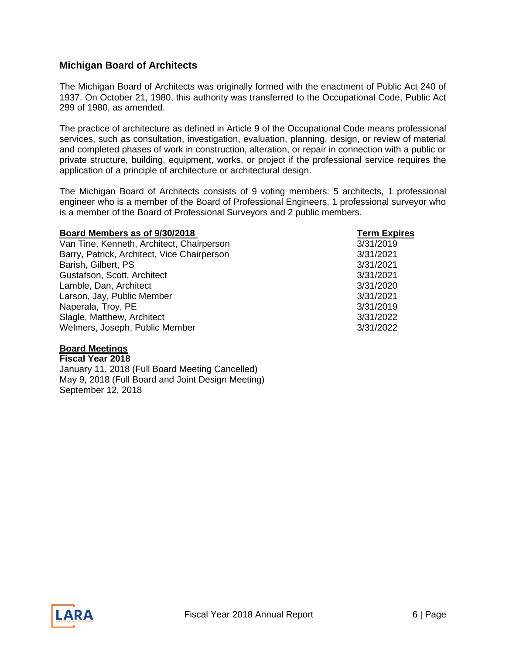#### <span id="page-5-0"></span>**Michigan Board of Architects**

The Michigan Board of Architects was originally formed with the enactment of Public Act 240 of 1937. On October 21, 1980, this authority was transferred to the Occupational Code, Public Act 299 of 1980, as amended.

The practice of architecture as defined in Article 9 of the Occupational Code means professional services, such as consultation, investigation, evaluation, planning, design, or review of material and completed phases of work in construction, alteration, or repair in connection with a public or private structure, building, equipment, works, or project if the professional service requires the application of a principle of architecture or architectural design.

The Michigan Board of Architects consists of 9 voting members: 5 architects, 1 professional engineer who is a member of the Board of Professional Engineers, 1 professional surveyor who is a member of the Board of Professional Surveyors and 2 public members.

| Board Members as of 9/30/2018               | <b>Term Expires</b> |
|---------------------------------------------|---------------------|
| Van Tine, Kenneth, Architect, Chairperson   | 3/31/2019           |
| Barry, Patrick, Architect, Vice Chairperson | 3/31/2021           |
| Barish, Gilbert, PS                         | 3/31/2021           |
| Gustafson, Scott, Architect                 | 3/31/2021           |
| Lamble, Dan, Architect                      | 3/31/2020           |
| Larson, Jay, Public Member                  | 3/31/2021           |
| Naperala, Troy, PE                          | 3/31/2019           |
| Slagle, Matthew, Architect                  | 3/31/2022           |
| Welmers, Joseph, Public Member              | 3/31/2022           |

#### **Board Meetings**

**Fiscal Year 2018** January 11, 2018 (Full Board Meeting Cancelled) May 9, 2018 (Full Board and Joint Design Meeting) September 12, 2018

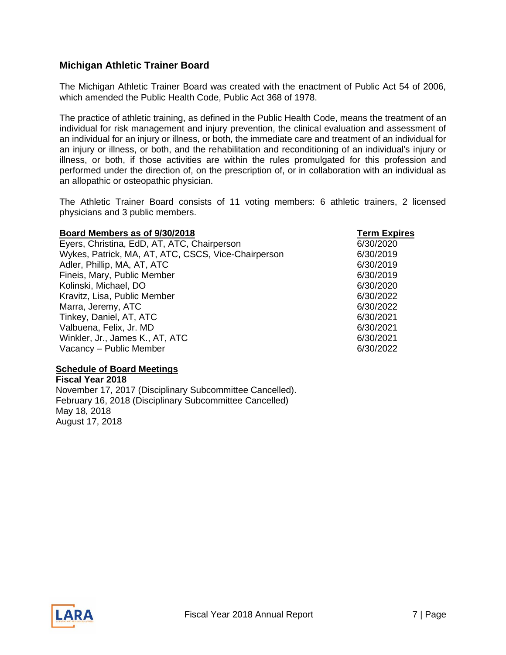#### <span id="page-6-0"></span>**Michigan Athletic Trainer Board**

The Michigan Athletic Trainer Board was created with the enactment of Public Act 54 of 2006, which amended the Public Health Code, Public Act 368 of 1978.

The practice of athletic training, as defined in the Public Health Code, means the treatment of an individual for risk management and injury prevention, the clinical evaluation and assessment of an individual for an injury or illness, or both, the immediate care and treatment of an individual for an injury or illness, or both, and the rehabilitation and reconditioning of an individual's injury or illness, or both, if those activities are within the rules promulgated for this profession and performed under the direction of, on the prescription of, or in collaboration with an individual as an allopathic or osteopathic physician.

The Athletic Trainer Board consists of 11 voting members: 6 athletic trainers, 2 licensed physicians and 3 public members.

| Board Members as of 9/30/2018                       | <b>Term Expires</b> |
|-----------------------------------------------------|---------------------|
| Eyers, Christina, EdD, AT, ATC, Chairperson         | 6/30/2020           |
| Wykes, Patrick, MA, AT, ATC, CSCS, Vice-Chairperson | 6/30/2019           |
| Adler, Phillip, MA, AT, ATC                         | 6/30/2019           |
| Fineis, Mary, Public Member                         | 6/30/2019           |
| Kolinski, Michael, DO                               | 6/30/2020           |
| Kravitz, Lisa, Public Member                        | 6/30/2022           |
| Marra, Jeremy, ATC                                  | 6/30/2022           |
| Tinkey, Daniel, AT, ATC                             | 6/30/2021           |
| Valbuena, Felix, Jr. MD                             | 6/30/2021           |
| Winkler, Jr., James K., AT, ATC                     | 6/30/2021           |
| Vacancy - Public Member                             | 6/30/2022           |

#### **Schedule of Board Meetings**

**Fiscal Year 2018** November 17, 2017 (Disciplinary Subcommittee Cancelled). February 16, 2018 (Disciplinary Subcommittee Cancelled) May 18, 2018 August 17, 2018

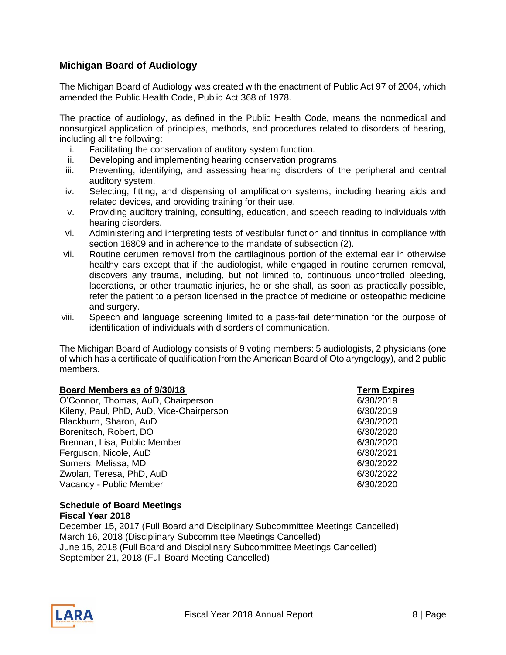### <span id="page-7-0"></span>**Michigan Board of Audiology**

The Michigan Board of Audiology was created with the enactment of Public Act 97 of 2004, which amended the Public Health Code, Public Act 368 of 1978.

The practice of audiology, as defined in the Public Health Code, means the nonmedical and nonsurgical application of principles, methods, and procedures related to disorders of hearing, including all the following:

- i. Facilitating the conservation of auditory system function.
- ii. Developing and implementing hearing conservation programs.
- iii. Preventing, identifying, and assessing hearing disorders of the peripheral and central auditory system.
- iv. Selecting, fitting, and dispensing of amplification systems, including hearing aids and related devices, and providing training for their use.
- v. Providing auditory training, consulting, education, and speech reading to individuals with hearing disorders.
- vi. Administering and interpreting tests of vestibular function and tinnitus in compliance with section 16809 and in adherence to the mandate of subsection (2).
- vii. Routine cerumen removal from the cartilaginous portion of the external ear in otherwise healthy ears except that if the audiologist, while engaged in routine cerumen removal, discovers any trauma, including, but not limited to, continuous uncontrolled bleeding, lacerations, or other traumatic injuries, he or she shall, as soon as practically possible, refer the patient to a person licensed in the practice of medicine or osteopathic medicine and surgery.
- viii. Speech and language screening limited to a pass-fail determination for the purpose of identification of individuals with disorders of communication.

The Michigan Board of Audiology consists of 9 voting members: 5 audiologists, 2 physicians (one of which has a certificate of qualification from the American Board of Otolaryngology), and 2 public members.

| Board Members as of 9/30/18              | <b>Term Expires</b> |
|------------------------------------------|---------------------|
| O'Connor, Thomas, AuD, Chairperson       | 6/30/2019           |
| Kileny, Paul, PhD, AuD, Vice-Chairperson | 6/30/2019           |
| Blackburn, Sharon, AuD                   | 6/30/2020           |
| Borenitsch, Robert, DO                   | 6/30/2020           |
| Brennan, Lisa, Public Member             | 6/30/2020           |
| Ferguson, Nicole, AuD                    | 6/30/2021           |
| Somers, Melissa, MD                      | 6/30/2022           |
| Zwolan, Teresa, PhD, AuD                 | 6/30/2022           |
| Vacancy - Public Member                  | 6/30/2020           |

#### **Schedule of Board Meetings Fiscal Year 2018**

December 15, 2017 (Full Board and Disciplinary Subcommittee Meetings Cancelled) March 16, 2018 (Disciplinary Subcommittee Meetings Cancelled) June 15, 2018 (Full Board and Disciplinary Subcommittee Meetings Cancelled) September 21, 2018 (Full Board Meeting Cancelled)

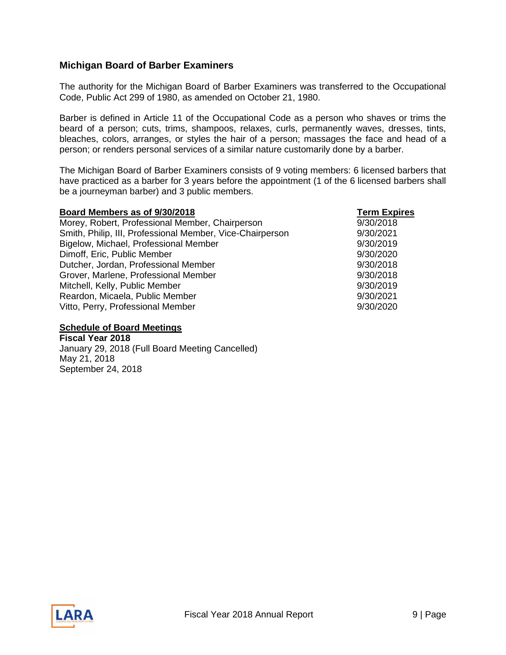#### <span id="page-8-0"></span>**Michigan Board of Barber Examiners**

The authority for the Michigan Board of Barber Examiners was transferred to the Occupational Code, Public Act 299 of 1980, as amended on October 21, 1980.

Barber is defined in Article 11 of the Occupational Code as a person who shaves or trims the beard of a person; cuts, trims, shampoos, relaxes, curls, permanently waves, dresses, tints, bleaches, colors, arranges, or styles the hair of a person; massages the face and head of a person; or renders personal services of a similar nature customarily done by a barber.

The Michigan Board of Barber Examiners consists of 9 voting members: 6 licensed barbers that have practiced as a barber for 3 years before the appointment (1 of the 6 licensed barbers shall be a journeyman barber) and 3 public members.

| Board Members as of 9/30/2018                             | <b>Term Expires</b> |
|-----------------------------------------------------------|---------------------|
| Morey, Robert, Professional Member, Chairperson           | 9/30/2018           |
| Smith, Philip, III, Professional Member, Vice-Chairperson | 9/30/2021           |
| Bigelow, Michael, Professional Member                     | 9/30/2019           |
| Dimoff, Eric, Public Member                               | 9/30/2020           |
| Dutcher, Jordan, Professional Member                      | 9/30/2018           |
| Grover, Marlene, Professional Member                      | 9/30/2018           |
| Mitchell, Kelly, Public Member                            | 9/30/2019           |
| Reardon, Micaela, Public Member                           | 9/30/2021           |
| Vitto, Perry, Professional Member                         | 9/30/2020           |

#### **Schedule of Board Meetings**

**Fiscal Year 2018** January 29, 2018 (Full Board Meeting Cancelled) May 21, 2018 September 24, 2018

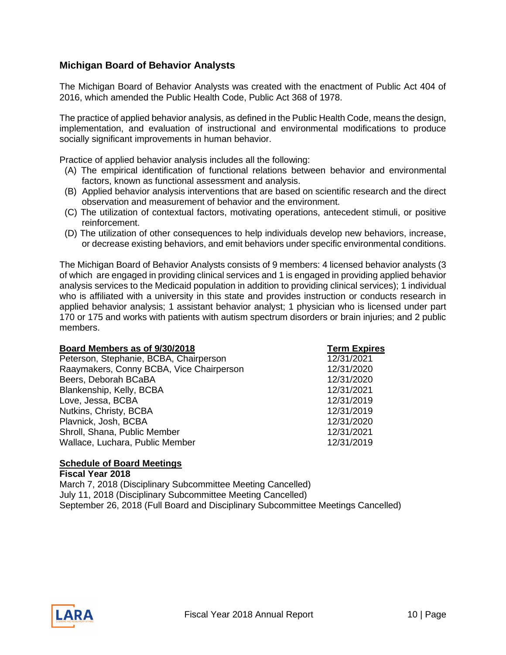#### <span id="page-9-0"></span>**Michigan Board of Behavior Analysts**

The Michigan Board of Behavior Analysts was created with the enactment of Public Act 404 of 2016, which amended the Public Health Code, Public Act 368 of 1978.

The practice of applied behavior analysis, as defined in the Public Health Code, means the design, implementation, and evaluation of instructional and environmental modifications to produce socially significant improvements in human behavior.

Practice of applied behavior analysis includes all the following:

- (A) The empirical identification of functional relations between behavior and environmental factors, known as functional assessment and analysis.
- (B) Applied behavior analysis interventions that are based on scientific research and the direct observation and measurement of behavior and the environment.
- (C) The utilization of contextual factors, motivating operations, antecedent stimuli, or positive reinforcement.
- (D) The utilization of other consequences to help individuals develop new behaviors, increase, or decrease existing behaviors, and emit behaviors under specific environmental conditions.

The Michigan Board of Behavior Analysts consists of 9 members: 4 licensed behavior analysts (3 of which are engaged in providing clinical services and 1 is engaged in providing applied behavior analysis services to the Medicaid population in addition to providing clinical services); 1 individual who is affiliated with a university in this state and provides instruction or conducts research in applied behavior analysis; 1 assistant behavior analyst; 1 physician who is licensed under part 170 or 175 and works with patients with autism spectrum disorders or brain injuries; and 2 public members.

| Board Members as of 9/30/2018            | <b>Term Expires</b> |
|------------------------------------------|---------------------|
| Peterson, Stephanie, BCBA, Chairperson   | 12/31/2021          |
| Raaymakers, Conny BCBA, Vice Chairperson | 12/31/2020          |
| Beers, Deborah BCaBA                     | 12/31/2020          |
| Blankenship, Kelly, BCBA                 | 12/31/2021          |
| Love, Jessa, BCBA                        | 12/31/2019          |
| Nutkins, Christy, BCBA                   | 12/31/2019          |
| Plavnick, Josh, BCBA                     | 12/31/2020          |
| Shroll, Shana, Public Member             | 12/31/2021          |
| Wallace, Luchara, Public Member          | 12/31/2019          |

#### **Schedule of Board Meetings**

**Fiscal Year 2018** March 7, 2018 (Disciplinary Subcommittee Meeting Cancelled) July 11, 2018 (Disciplinary Subcommittee Meeting Cancelled) September 26, 2018 (Full Board and Disciplinary Subcommittee Meetings Cancelled)

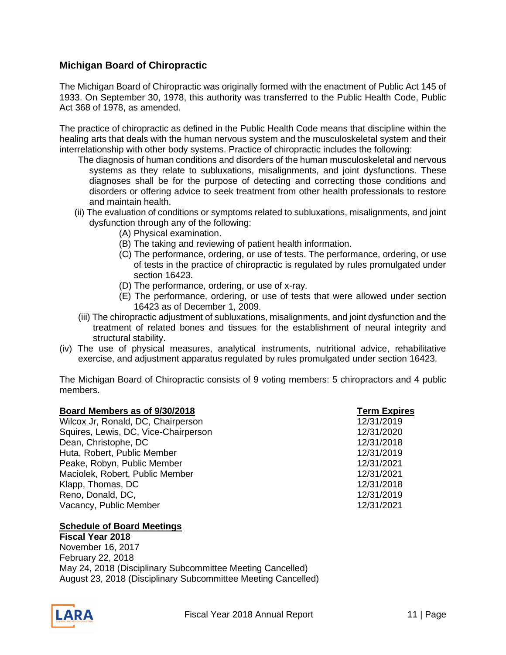### <span id="page-10-0"></span>**Michigan Board of Chiropractic**

The Michigan Board of Chiropractic was originally formed with the enactment of Public Act 145 of 1933. On September 30, 1978, this authority was transferred to the Public Health Code, Public Act 368 of 1978, as amended.

The practice of chiropractic as defined in the Public Health Code means that discipline within the healing arts that deals with the human nervous system and the musculoskeletal system and their interrelationship with other body systems. Practice of chiropractic includes the following:

- The diagnosis of human conditions and disorders of the human musculoskeletal and nervous systems as they relate to subluxations, misalignments, and joint dysfunctions. These diagnoses shall be for the purpose of detecting and correcting those conditions and disorders or offering advice to seek treatment from other health professionals to restore and maintain health.
- (ii) The evaluation of conditions or symptoms related to subluxations, misalignments, and joint dysfunction through any of the following:
	- (A) Physical examination.
	- (B) The taking and reviewing of patient health information.
	- (C) The performance, ordering, or use of tests. The performance, ordering, or use of tests in the practice of chiropractic is regulated by rules promulgated under section 16423.
	- (D) The performance, ordering, or use of x-ray.
	- (E) The performance, ordering, or use of tests that were allowed under section 16423 as of December 1, 2009.
- (iii) The chiropractic adjustment of subluxations, misalignments, and joint dysfunction and the treatment of related bones and tissues for the establishment of neural integrity and structural stability.
- (iv) The use of physical measures, analytical instruments, nutritional advice, rehabilitative exercise, and adjustment apparatus regulated by rules promulgated under section 16423.

The Michigan Board of Chiropractic consists of 9 voting members: 5 chiropractors and 4 public members.

| Board Members as of 9/30/2018        | <b>Term Expires</b> |
|--------------------------------------|---------------------|
| Wilcox Jr, Ronald, DC, Chairperson   | 12/31/2019          |
| Squires, Lewis, DC, Vice-Chairperson | 12/31/2020          |
| Dean, Christophe, DC                 | 12/31/2018          |
| Huta, Robert, Public Member          | 12/31/2019          |
| Peake, Robyn, Public Member          | 12/31/2021          |
| Maciolek, Robert, Public Member      | 12/31/2021          |
| Klapp, Thomas, DC                    | 12/31/2018          |
| Reno, Donald, DC,                    | 12/31/2019          |
| Vacancy, Public Member               | 12/31/2021          |

#### **Schedule of Board Meetings**

**Fiscal Year 2018** November 16, 2017 February 22, 2018 May 24, 2018 (Disciplinary Subcommittee Meeting Cancelled) August 23, 2018 (Disciplinary Subcommittee Meeting Cancelled)

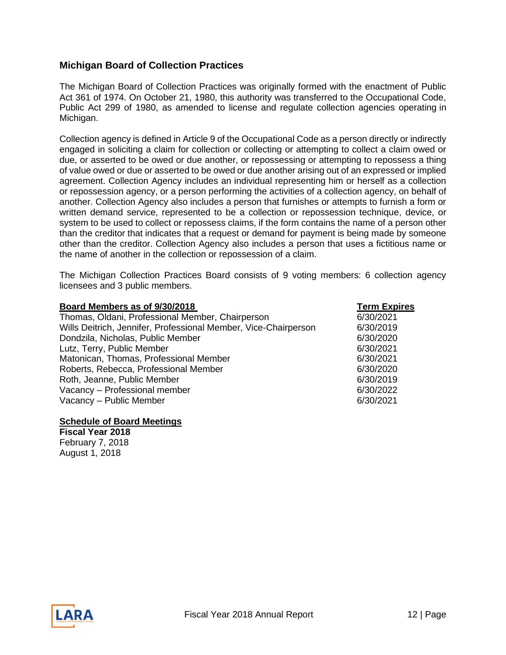#### <span id="page-11-0"></span>**Michigan Board of Collection Practices**

The Michigan Board of Collection Practices was originally formed with the enactment of Public Act 361 of 1974. On October 21, 1980, this authority was transferred to the Occupational Code, Public Act 299 of 1980, as amended to license and regulate collection agencies operating in Michigan.

Collection agency is defined in Article 9 of the Occupational Code as a person directly or indirectly engaged in soliciting a claim for collection or collecting or attempting to collect a claim owed or due, or asserted to be owed or due another, or repossessing or attempting to repossess a thing of value owed or due or asserted to be owed or due another arising out of an expressed or implied agreement. Collection Agency includes an individual representing him or herself as a collection or repossession agency, or a person performing the activities of a collection agency, on behalf of another. Collection Agency also includes a person that furnishes or attempts to furnish a form or written demand service, represented to be a collection or repossession technique, device, or system to be used to collect or repossess claims, if the form contains the name of a person other than the creditor that indicates that a request or demand for payment is being made by someone other than the creditor. Collection Agency also includes a person that uses a fictitious name or the name of another in the collection or repossession of a claim.

The Michigan Collection Practices Board consists of 9 voting members: 6 collection agency licensees and 3 public members.

| Board Members as of 9/30/2018                                   | <b>Term Expires</b> |
|-----------------------------------------------------------------|---------------------|
| Thomas, Oldani, Professional Member, Chairperson                | 6/30/2021           |
| Wills Deitrich, Jennifer, Professional Member, Vice-Chairperson | 6/30/2019           |
| Dondzila, Nicholas, Public Member                               | 6/30/2020           |
| Lutz, Terry, Public Member                                      | 6/30/2021           |
| Matonican, Thomas, Professional Member                          | 6/30/2021           |
| Roberts, Rebecca, Professional Member                           | 6/30/2020           |
| Roth, Jeanne, Public Member                                     | 6/30/2019           |
| Vacancy - Professional member                                   | 6/30/2022           |
| Vacancy - Public Member                                         | 6/30/2021           |

#### **Schedule of Board Meetings**

**Fiscal Year 2018** February 7, 2018 August 1, 2018

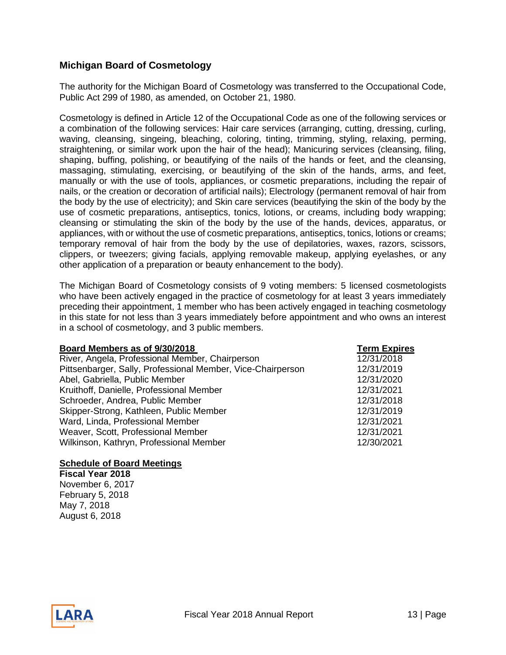#### <span id="page-12-0"></span>**Michigan Board of Cosmetology**

The authority for the Michigan Board of Cosmetology was transferred to the Occupational Code, Public Act 299 of 1980, as amended, on October 21, 1980.

Cosmetology is defined in Article 12 of the Occupational Code as one of the following services or a combination of the following services: Hair care services (arranging, cutting, dressing, curling, waving, cleansing, singeing, bleaching, coloring, tinting, trimming, styling, relaxing, perming, straightening, or similar work upon the hair of the head); Manicuring services (cleansing, filing, shaping, buffing, polishing, or beautifying of the nails of the hands or feet, and the cleansing, massaging, stimulating, exercising, or beautifying of the skin of the hands, arms, and feet, manually or with the use of tools, appliances, or cosmetic preparations, including the repair of nails, or the creation or decoration of artificial nails); Electrology (permanent removal of hair from the body by the use of electricity); and Skin care services (beautifying the skin of the body by the use of cosmetic preparations, antiseptics, tonics, lotions, or creams, including body wrapping; cleansing or stimulating the skin of the body by the use of the hands, devices, apparatus, or appliances, with or without the use of cosmetic preparations, antiseptics, tonics, lotions or creams; temporary removal of hair from the body by the use of depilatories, waxes, razors, scissors, clippers, or tweezers; giving facials, applying removable makeup, applying eyelashes, or any other application of a preparation or beauty enhancement to the body).

The Michigan Board of Cosmetology consists of 9 voting members: 5 licensed cosmetologists who have been actively engaged in the practice of cosmetology for at least 3 years immediately preceding their appointment, 1 member who has been actively engaged in teaching cosmetology in this state for not less than 3 years immediately before appointment and who owns an interest in a school of cosmetology, and 3 public members.

| Board Members as of 9/30/2018                               | <b>Term Expires</b> |
|-------------------------------------------------------------|---------------------|
| River, Angela, Professional Member, Chairperson             | 12/31/2018          |
| Pittsenbarger, Sally, Professional Member, Vice-Chairperson | 12/31/2019          |
| Abel, Gabriella, Public Member                              | 12/31/2020          |
| Kruithoff, Danielle, Professional Member                    | 12/31/2021          |
| Schroeder, Andrea, Public Member                            | 12/31/2018          |
| Skipper-Strong, Kathleen, Public Member                     | 12/31/2019          |
| Ward, Linda, Professional Member                            | 12/31/2021          |
| Weaver, Scott, Professional Member                          | 12/31/2021          |
| Wilkinson, Kathryn, Professional Member                     | 12/30/2021          |

#### **Schedule of Board Meetings**

**Fiscal Year 2018**  November 6, 2017 February 5, 2018 May 7, 2018 August 6, 2018

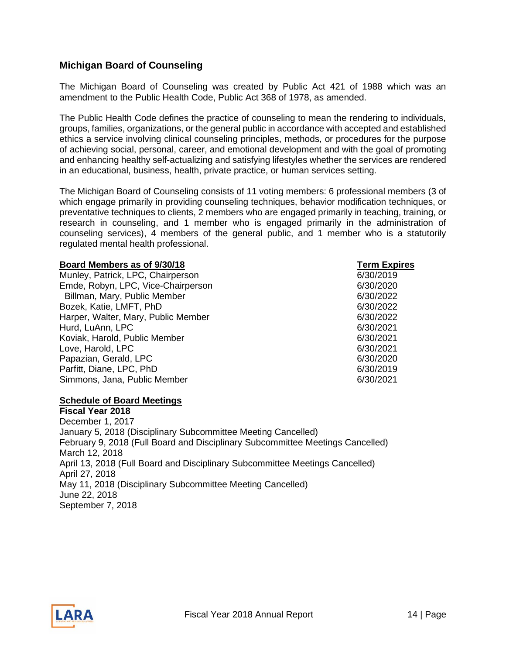#### <span id="page-13-0"></span>**Michigan Board of Counseling**

The Michigan Board of Counseling was created by Public Act 421 of 1988 which was an amendment to the Public Health Code, Public Act 368 of 1978, as amended.

The Public Health Code defines the practice of counseling to mean the rendering to individuals, groups, families, organizations, or the general public in accordance with accepted and established ethics a service involving clinical counseling principles, methods, or procedures for the purpose of achieving social, personal, career, and emotional development and with the goal of promoting and enhancing healthy self-actualizing and satisfying lifestyles whether the services are rendered in an educational, business, health, private practice, or human services setting.

The Michigan Board of Counseling consists of 11 voting members: 6 professional members (3 of which engage primarily in providing counseling techniques, behavior modification techniques, or preventative techniques to clients, 2 members who are engaged primarily in teaching, training, or research in counseling, and 1 member who is engaged primarily in the administration of counseling services), 4 members of the general public, and 1 member who is a statutorily regulated mental health professional.

#### **Board Members as of 9/30/18 Term Expires**

Munley, Patrick, LPC, Chairperson 6/30/2019 Emde, Robyn, LPC, Vice-Chairperson 6/30/2020 Billman, Mary, Public Member 6/30/2022 Bozek, Katie, LMFT, PhD 6/30/2022 Harper, Walter, Mary, Public Member 6/30/2022 Hurd, LuAnn, LPC 6/30/2021 Koviak, Harold, Public Member 6/30/2021 Love, Harold, LPC 6/30/2021 Papazian, Gerald, LPC 6/30/2020 Parfitt, Diane, LPC, PhD 6/30/2019 Simmons, Jana, Public Member 6/30/2021

#### **Schedule of Board Meetings**

**Fiscal Year 2018**  December 1, 2017 January 5, 2018 (Disciplinary Subcommittee Meeting Cancelled) February 9, 2018 (Full Board and Disciplinary Subcommittee Meetings Cancelled) March 12, 2018 April 13, 2018 (Full Board and Disciplinary Subcommittee Meetings Cancelled) April 27, 2018 May 11, 2018 (Disciplinary Subcommittee Meeting Cancelled) June 22, 2018 September 7, 2018

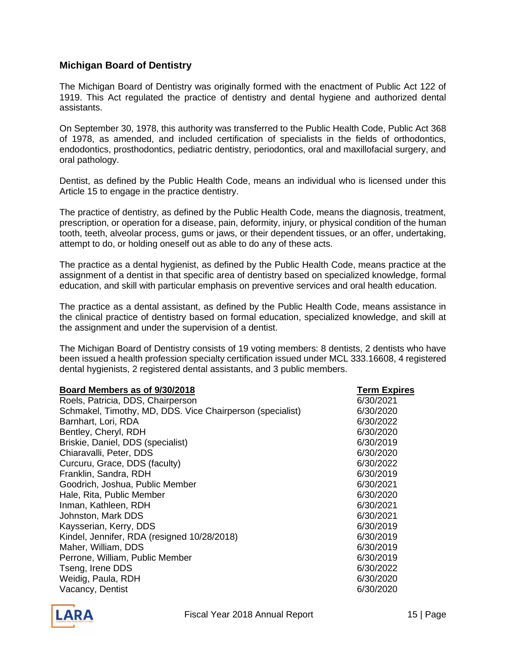#### <span id="page-14-0"></span>**Michigan Board of Dentistry**

The Michigan Board of Dentistry was originally formed with the enactment of Public Act 122 of 1919. This Act regulated the practice of dentistry and dental hygiene and authorized dental assistants.

On September 30, 1978, this authority was transferred to the Public Health Code, Public Act 368 of 1978, as amended, and included certification of specialists in the fields of orthodontics, endodontics, prosthodontics, pediatric dentistry, periodontics, oral and maxillofacial surgery, and oral pathology.

Dentist, as defined by the Public Health Code, means an individual who is licensed under this Article 15 to engage in the practice dentistry.

The practice of dentistry, as defined by the Public Health Code, means the diagnosis, treatment, prescription, or operation for a disease, pain, deformity, injury, or physical condition of the human tooth, teeth, alveolar process, gums or jaws, or their dependent tissues, or an offer, undertaking, attempt to do, or holding oneself out as able to do any of these acts.

The practice as a dental hygienist, as defined by the Public Health Code, means practice at the assignment of a dentist in that specific area of dentistry based on specialized knowledge, formal education, and skill with particular emphasis on preventive services and oral health education.

The practice as a dental assistant, as defined by the Public Health Code, means assistance in the clinical practice of dentistry based on formal education, specialized knowledge, and skill at the assignment and under the supervision of a dentist.

The Michigan Board of Dentistry consists of 19 voting members: 8 dentists, 2 dentists who have been issued a health profession specialty certification issued under MCL 333.16608, 4 registered dental hygienists, 2 registered dental assistants, and 3 public members.

| Board Members as of 9/30/2018                             | <b>Term Expires</b> |
|-----------------------------------------------------------|---------------------|
| Roels, Patricia, DDS, Chairperson                         | 6/30/2021           |
| Schmakel, Timothy, MD, DDS. Vice Chairperson (specialist) | 6/30/2020           |
| Barnhart, Lori, RDA                                       | 6/30/2022           |
| Bentley, Cheryl, RDH                                      | 6/30/2020           |
| Briskie, Daniel, DDS (specialist)                         | 6/30/2019           |
| Chiaravalli, Peter, DDS                                   | 6/30/2020           |
| Curcuru, Grace, DDS (faculty)                             | 6/30/2022           |
| Franklin, Sandra, RDH                                     | 6/30/2019           |
| Goodrich, Joshua, Public Member                           | 6/30/2021           |
| Hale, Rita, Public Member                                 | 6/30/2020           |
| Inman, Kathleen, RDH                                      | 6/30/2021           |
| Johnston, Mark DDS                                        | 6/30/2021           |
| Kaysserian, Kerry, DDS                                    | 6/30/2019           |
| Kindel, Jennifer, RDA (resigned 10/28/2018)               | 6/30/2019           |
| Maher, William, DDS                                       | 6/30/2019           |
| Perrone, William, Public Member                           | 6/30/2019           |
| Tseng, Irene DDS                                          | 6/30/2022           |
| Weidig, Paula, RDH                                        | 6/30/2020           |
| Vacancy, Dentist                                          | 6/30/2020           |

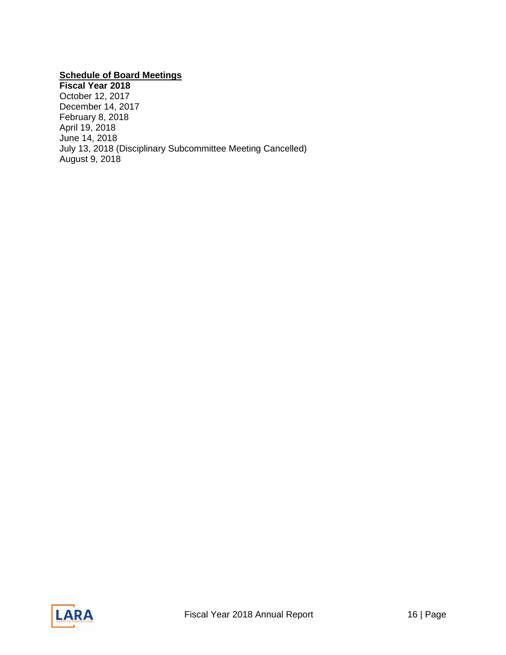## **Schedule of Board Meetings**

**Fiscal Year 2018**  October 12, 2017 December 14, 2017 February 8, 2018 April 19, 2018 June 14, 2018 July 13, 2018 (Disciplinary Subcommittee Meeting Cancelled) August 9, 2018

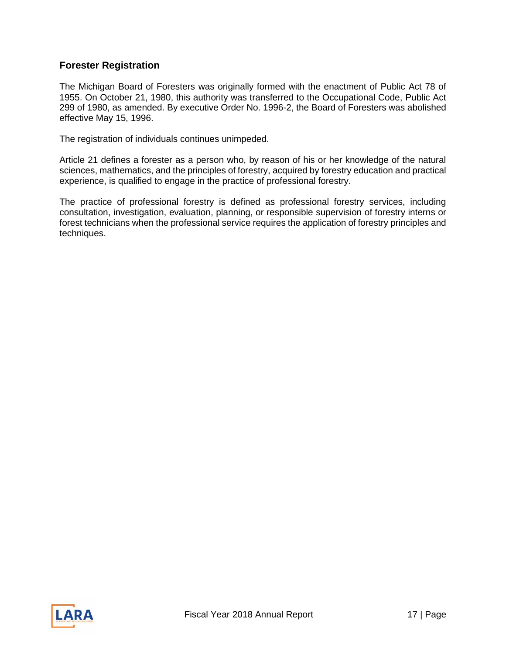#### <span id="page-16-0"></span>**Forester Registration**

The Michigan Board of Foresters was originally formed with the enactment of Public Act 78 of 1955. On October 21, 1980, this authority was transferred to the Occupational Code, Public Act 299 of 1980, as amended. By executive Order No. 1996-2, the Board of Foresters was abolished effective May 15, 1996.

The registration of individuals continues unimpeded.

Article 21 defines a forester as a person who, by reason of his or her knowledge of the natural sciences, mathematics, and the principles of forestry, acquired by forestry education and practical experience, is qualified to engage in the practice of professional forestry.

The practice of professional forestry is defined as professional forestry services, including consultation, investigation, evaluation, planning, or responsible supervision of forestry interns or forest technicians when the professional service requires the application of forestry principles and techniques.

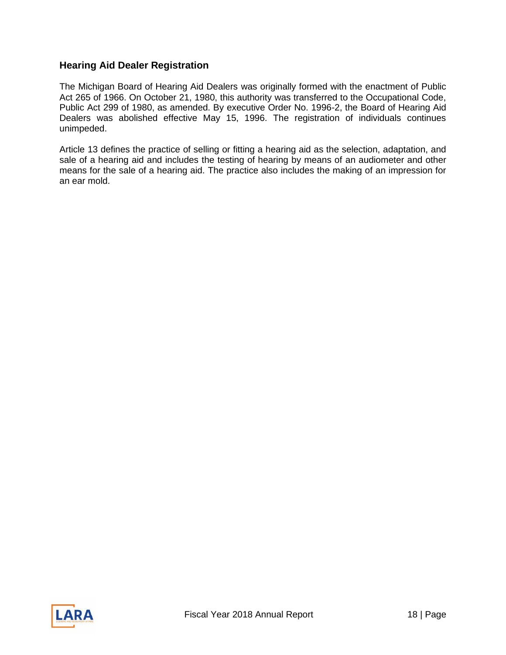#### <span id="page-17-0"></span>**Hearing Aid Dealer Registration**

The Michigan Board of Hearing Aid Dealers was originally formed with the enactment of Public Act 265 of 1966. On October 21, 1980, this authority was transferred to the Occupational Code, Public Act 299 of 1980, as amended. By executive Order No. 1996-2, the Board of Hearing Aid Dealers was abolished effective May 15, 1996. The registration of individuals continues unimpeded.

Article 13 defines the practice of selling or fitting a hearing aid as the selection, adaptation, and sale of a hearing aid and includes the testing of hearing by means of an audiometer and other means for the sale of a hearing aid. The practice also includes the making of an impression for an ear mold.

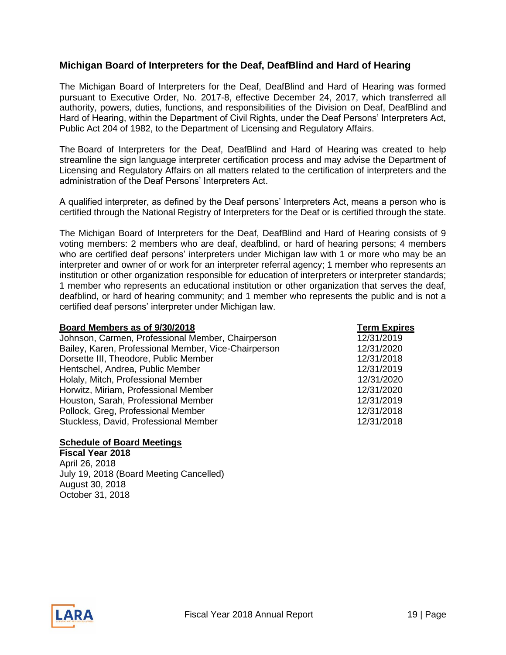#### <span id="page-18-0"></span>**Michigan Board of Interpreters for the Deaf, DeafBlind and Hard of Hearing**

The Michigan Board of Interpreters for the Deaf, DeafBlind and Hard of Hearing was formed pursuant to Executive Order, No. 2017-8, effective December 24, 2017, which transferred all authority, powers, duties, functions, and responsibilities of the Division on Deaf, DeafBlind and Hard of Hearing, within the Department of Civil Rights, under the Deaf Persons' Interpreters Act, Public Act 204 of 1982, to the Department of Licensing and Regulatory Affairs.

The Board of Interpreters for the Deaf, DeafBlind and Hard of Hearing was created to help streamline the sign language interpreter certification process and may advise the Department of Licensing and Regulatory Affairs on all matters related to the certification of interpreters and the administration of the Deaf Persons' Interpreters Act.

A qualified interpreter, as defined by the Deaf persons' Interpreters Act, means a person who is certified through the National Registry of Interpreters for the Deaf or is certified through the state.

The Michigan Board of Interpreters for the Deaf, DeafBlind and Hard of Hearing consists of 9 voting members: 2 members who are deaf, deafblind, or hard of hearing persons; 4 members who are certified deaf persons' interpreters under Michigan law with 1 or more who may be an interpreter and owner of or work for an interpreter referral agency; 1 member who represents an institution or other organization responsible for education of interpreters or interpreter standards; 1 member who represents an educational institution or other organization that serves the deaf, deafblind, or hard of hearing community; and 1 member who represents the public and is not a certified deaf persons' interpreter under Michigan law.

#### **Board Members as of 9/30/2018 Term Expires**

Johnson, Carmen, Professional Member, Chairperson Bailey, Karen, Professional Member, Vice-Chairperson Dorsette III, Theodore, Public Member Hentschel, Andrea, Public Member Holaly, Mitch, Professional Member Horwitz, Miriam, Professional Member Houston, Sarah, Professional Member Pollock, Greg, Professional Member Stuckless, David, Professional Member 12/31/2018

#### **Schedule of Board Meetings**

**Fiscal Year 2018**  April 26, 2018 July 19, 2018 (Board Meeting Cancelled) August 30, 2018 October 31, 2018

| <b>Term Expire</b> |
|--------------------|
| 12/31/2019         |
| 12/31/2020         |
| 12/31/2018         |
| 12/31/2019         |
| 12/31/2020         |
| 12/31/2020         |
| 12/31/2019         |
| 12/31/2018         |
| 10101              |

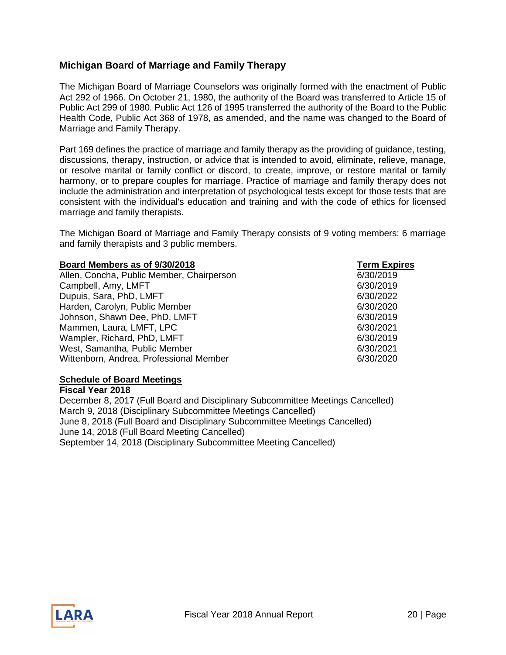#### <span id="page-19-0"></span>**Michigan Board of Marriage and Family Therapy**

The Michigan Board of Marriage Counselors was originally formed with the enactment of Public Act 292 of 1966. On October 21, 1980, the authority of the Board was transferred to Article 15 of Public Act 299 of 1980. Public Act 126 of 1995 transferred the authority of the Board to the Public Health Code, Public Act 368 of 1978, as amended, and the name was changed to the Board of Marriage and Family Therapy.

Part 169 defines the practice of marriage and family therapy as the providing of guidance, testing, discussions, therapy, instruction, or advice that is intended to avoid, eliminate, relieve, manage, or resolve marital or family conflict or discord, to create, improve, or restore marital or family harmony, or to prepare couples for marriage. Practice of marriage and family therapy does not include the administration and interpretation of psychological tests except for those tests that are consistent with the individual's education and training and with the code of ethics for licensed marriage and family therapists.

The Michigan Board of Marriage and Family Therapy consists of 9 voting members: 6 marriage and family therapists and 3 public members.

#### **Board Members as of 9/30/2018 Term Expires**

Allen, Concha, Public Member, Chairperson **6/30/2019** Campbell, Amy, LMFT 6/30/2019 Dupuis, Sara, PhD, LMFT 6/30/2022 Harden, Carolyn, Public Member 6/30/2020 Johnson, Shawn Dee, PhD, LMFT 6/30/2019 Mammen, Laura, LMFT, LPC 6/30/2021 Wampler, Richard, PhD, LMFT 6/30/2019 West, Samantha, Public Member 6/30/2021 Wittenborn, Andrea, Professional Member 6/30/2020

#### **Schedule of Board Meetings**

**Fiscal Year 2018**  December 8, 2017 (Full Board and Disciplinary Subcommittee Meetings Cancelled) March 9, 2018 (Disciplinary Subcommittee Meetings Cancelled) June 8, 2018 (Full Board and Disciplinary Subcommittee Meetings Cancelled) June 14, 2018 (Full Board Meeting Cancelled) September 14, 2018 (Disciplinary Subcommittee Meeting Cancelled)

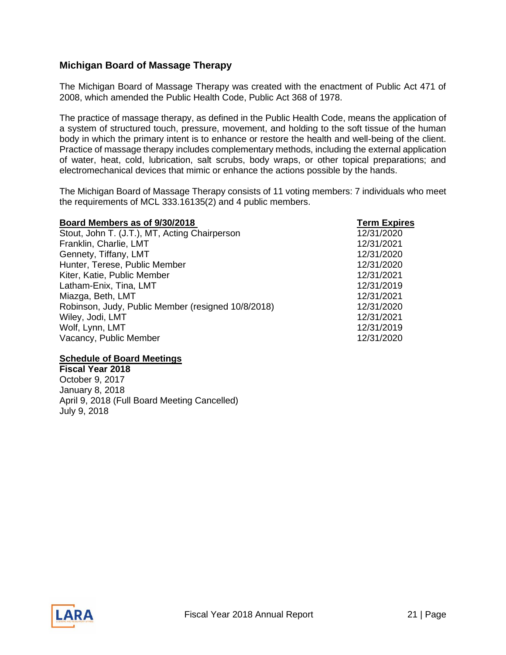### <span id="page-20-0"></span>**Michigan Board of Massage Therapy**

The Michigan Board of Massage Therapy was created with the enactment of Public Act 471 of 2008, which amended the Public Health Code, Public Act 368 of 1978.

The practice of massage therapy, as defined in the Public Health Code, means the application of a system of structured touch, pressure, movement, and holding to the soft tissue of the human body in which the primary intent is to enhance or restore the health and well-being of the client. Practice of massage therapy includes complementary methods, including the external application of water, heat, cold, lubrication, salt scrubs, body wraps, or other topical preparations; and electromechanical devices that mimic or enhance the actions possible by the hands.

The Michigan Board of Massage Therapy consists of 11 voting members: 7 individuals who meet the requirements of MCL 333.16135(2) and 4 public members.

| Board Members as of 9/30/2018                      | <b>Term Expires</b> |
|----------------------------------------------------|---------------------|
| Stout, John T. (J.T.), MT, Acting Chairperson      | 12/31/2020          |
| Franklin, Charlie, LMT                             | 12/31/2021          |
| Gennety, Tiffany, LMT                              | 12/31/2020          |
| Hunter, Terese, Public Member                      | 12/31/2020          |
| Kiter, Katie, Public Member                        | 12/31/2021          |
| Latham-Enix, Tina, LMT                             | 12/31/2019          |
| Miazga, Beth, LMT                                  | 12/31/2021          |
| Robinson, Judy, Public Member (resigned 10/8/2018) | 12/31/2020          |
| Wiley, Jodi, LMT                                   | 12/31/2021          |
| Wolf, Lynn, LMT                                    | 12/31/2019          |
| Vacancy, Public Member                             | 12/31/2020          |

#### **Schedule of Board Meetings**

**Fiscal Year 2018** October 9, 2017 January 8, 2018 April 9, 2018 (Full Board Meeting Cancelled) July 9, 2018

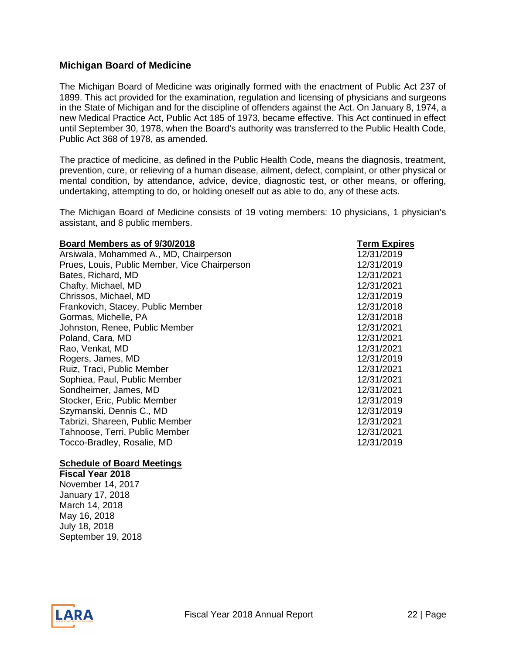#### <span id="page-21-0"></span>**Michigan Board of Medicine**

The Michigan Board of Medicine was originally formed with the enactment of Public Act 237 of 1899. This act provided for the examination, regulation and licensing of physicians and surgeons in the State of Michigan and for the discipline of offenders against the Act. On January 8, 1974, a new Medical Practice Act, Public Act 185 of 1973, became effective. This Act continued in effect until September 30, 1978, when the Board's authority was transferred to the Public Health Code, Public Act 368 of 1978, as amended.

The practice of medicine, as defined in the Public Health Code, means the diagnosis, treatment, prevention, cure, or relieving of a human disease, ailment, defect, complaint, or other physical or mental condition, by attendance, advice, device, diagnostic test, or other means, or offering, undertaking, attempting to do, or holding oneself out as able to do, any of these acts.

The Michigan Board of Medicine consists of 19 voting members: 10 physicians, 1 physician's assistant, and 8 public members.

| Board Members as of 9/30/2018                 | <b>Term Expires</b> |
|-----------------------------------------------|---------------------|
| Arsiwala, Mohammed A., MD, Chairperson        | 12/31/2019          |
| Prues, Louis, Public Member, Vice Chairperson | 12/31/2019          |
| Bates, Richard, MD                            | 12/31/2021          |
| Chafty, Michael, MD                           | 12/31/2021          |
| Chrissos, Michael, MD                         | 12/31/2019          |
| Frankovich, Stacey, Public Member             | 12/31/2018          |
| Gormas, Michelle, PA                          | 12/31/2018          |
| Johnston, Renee, Public Member                | 12/31/2021          |
| Poland, Cara, MD                              | 12/31/2021          |
| Rao, Venkat, MD                               | 12/31/2021          |
| Rogers, James, MD                             | 12/31/2019          |
| Ruiz, Traci, Public Member                    | 12/31/2021          |
| Sophiea, Paul, Public Member                  | 12/31/2021          |
| Sondheimer, James, MD                         | 12/31/2021          |
| Stocker, Eric, Public Member                  | 12/31/2019          |
| Szymanski, Dennis C., MD                      | 12/31/2019          |
| Tabrizi, Shareen, Public Member               | 12/31/2021          |
| Tahnoose, Terri, Public Member                | 12/31/2021          |
| Tocco-Bradley, Rosalie, MD                    | 12/31/2019          |

#### **Schedule of Board Meetings**

**Fiscal Year 2018** November 14, 2017 January 17, 2018 March 14, 2018 May 16, 2018 July 18, 2018 September 19, 2018

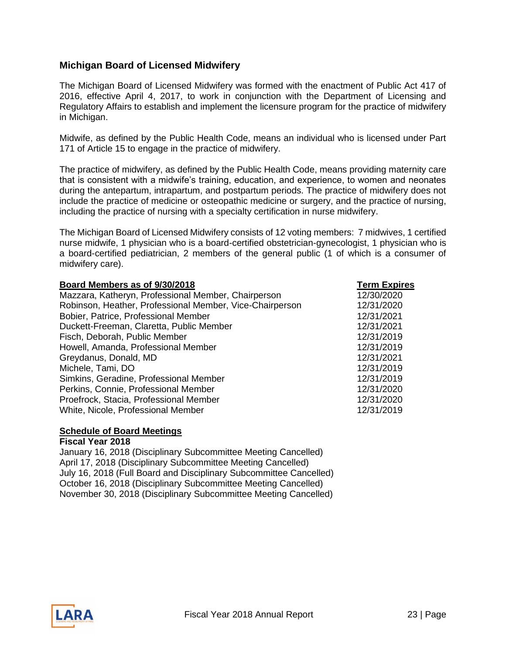#### <span id="page-22-0"></span>**Michigan Board of Licensed Midwifery**

The Michigan Board of Licensed Midwifery was formed with the enactment of Public Act 417 of 2016, effective April 4, 2017, to work in conjunction with the Department of Licensing and Regulatory Affairs to establish and implement the licensure program for the practice of midwifery in Michigan.

Midwife, as defined by the Public Health Code, means an individual who is licensed under Part 171 of Article 15 to engage in the practice of midwifery.

The practice of midwifery, as defined by the Public Health Code, means providing maternity care that is consistent with a midwife's training, education, and experience, to women and neonates during the antepartum, intrapartum, and postpartum periods. The practice of midwifery does not include the practice of medicine or osteopathic medicine or surgery, and the practice of nursing, including the practice of nursing with a specialty certification in nurse midwifery.

The Michigan Board of Licensed Midwifery consists of 12 voting members: 7 midwives, 1 certified nurse midwife, 1 physician who is a board-certified obstetrician-gynecologist, 1 physician who is a board-certified pediatrician, 2 members of the general public (1 of which is a consumer of midwifery care).

| Board Members as of 9/30/2018                            | <b>Term Expires</b> |
|----------------------------------------------------------|---------------------|
| Mazzara, Katheryn, Professional Member, Chairperson      | 12/30/2020          |
| Robinson, Heather, Professional Member, Vice-Chairperson | 12/31/2020          |
| Bobier, Patrice, Professional Member                     | 12/31/2021          |
| Duckett-Freeman, Claretta, Public Member                 | 12/31/2021          |
| Fisch, Deborah, Public Member                            | 12/31/2019          |
| Howell, Amanda, Professional Member                      | 12/31/2019          |
| Greydanus, Donald, MD                                    | 12/31/2021          |
| Michele, Tami, DO                                        | 12/31/2019          |
| Simkins, Geradine, Professional Member                   | 12/31/2019          |
| Perkins, Connie, Professional Member                     | 12/31/2020          |
| Proefrock, Stacia, Professional Member                   | 12/31/2020          |
| White, Nicole, Professional Member                       | 12/31/2019          |

#### **Schedule of Board Meetings Fiscal Year 2018**

January 16, 2018 (Disciplinary Subcommittee Meeting Cancelled) April 17, 2018 (Disciplinary Subcommittee Meeting Cancelled) July 16, 2018 (Full Board and Disciplinary Subcommittee Cancelled) October 16, 2018 (Disciplinary Subcommittee Meeting Cancelled) November 30, 2018 (Disciplinary Subcommittee Meeting Cancelled)

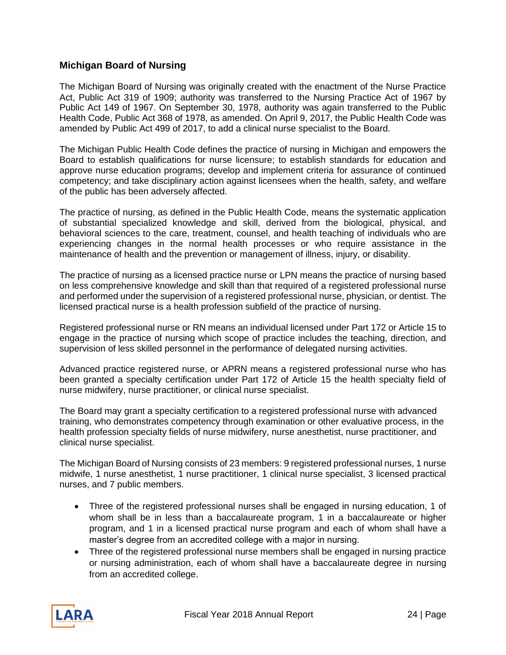#### <span id="page-23-0"></span>**Michigan Board of Nursing**

The Michigan Board of Nursing was originally created with the enactment of the Nurse Practice Act, Public Act 319 of 1909; authority was transferred to the Nursing Practice Act of 1967 by Public Act 149 of 1967. On September 30, 1978, authority was again transferred to the Public Health Code, Public Act 368 of 1978, as amended. On April 9, 2017, the Public Health Code was amended by Public Act 499 of 2017, to add a clinical nurse specialist to the Board.

The Michigan Public Health Code defines the practice of nursing in Michigan and empowers the Board to establish qualifications for nurse licensure; to establish standards for education and approve nurse education programs; develop and implement criteria for assurance of continued competency; and take disciplinary action against licensees when the health, safety, and welfare of the public has been adversely affected.

The practice of nursing, as defined in the Public Health Code, means the systematic application of substantial specialized knowledge and skill, derived from the biological, physical, and behavioral sciences to the care, treatment, counsel, and health teaching of individuals who are experiencing changes in the normal health processes or who require assistance in the maintenance of health and the prevention or management of illness, injury, or disability.

The practice of nursing as a licensed practice nurse or LPN means the practice of nursing based on less comprehensive knowledge and skill than that required of a registered professional nurse and performed under the supervision of a registered professional nurse, physician, or dentist. The licensed practical nurse is a health profession subfield of the practice of nursing.

Registered professional nurse or RN means an individual licensed under Part 172 or Article 15 to engage in the practice of nursing which scope of practice includes the teaching, direction, and supervision of less skilled personnel in the performance of delegated nursing activities.

Advanced practice registered nurse, or APRN means a registered professional nurse who has been granted a specialty certification under Part 172 of Article 15 the health specialty field of nurse midwifery, nurse practitioner, or clinical nurse specialist.

The Board may grant a specialty certification to a registered professional nurse with advanced training, who demonstrates competency through examination or other evaluative process, in the health profession specialty fields of nurse midwifery, nurse anesthetist, nurse practitioner, and clinical nurse specialist.

The Michigan Board of Nursing consists of 23 members: 9 registered professional nurses, 1 nurse midwife, 1 nurse anesthetist, 1 nurse practitioner, 1 clinical nurse specialist, 3 licensed practical nurses, and 7 public members.

- Three of the registered professional nurses shall be engaged in nursing education, 1 of whom shall be in less than a baccalaureate program, 1 in a baccalaureate or higher program, and 1 in a licensed practical nurse program and each of whom shall have a master's degree from an accredited college with a major in nursing.
- Three of the registered professional nurse members shall be engaged in nursing practice or nursing administration, each of whom shall have a baccalaureate degree in nursing from an accredited college.

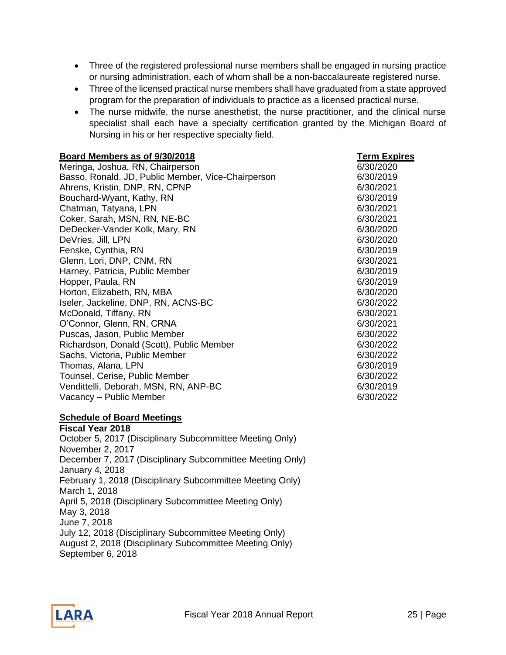- Three of the registered professional nurse members shall be engaged in nursing practice or nursing administration, each of whom shall be a non-baccalaureate registered nurse.
- Three of the licensed practical nurse members shall have graduated from a state approved program for the preparation of individuals to practice as a licensed practical nurse.
- The nurse midwife, the nurse anesthetist, the nurse practitioner, and the clinical nurse specialist shall each have a specialty certification granted by the Michigan Board of Nursing in his or her respective specialty field.

| Board Members as of 9/30/2018                      | <b>Term Expires</b> |
|----------------------------------------------------|---------------------|
| Meringa, Joshua, RN, Chairperson                   | 6/30/2020           |
| Basso, Ronald, JD, Public Member, Vice-Chairperson | 6/30/2019           |
| Ahrens, Kristin, DNP, RN, CPNP                     | 6/30/2021           |
| Bouchard-Wyant, Kathy, RN                          | 6/30/2019           |
| Chatman, Tatyana, LPN                              | 6/30/2021           |
| Coker, Sarah, MSN, RN, NE-BC                       | 6/30/2021           |
| DeDecker-Vander Kolk, Mary, RN                     | 6/30/2020           |
| DeVries, Jill, LPN                                 | 6/30/2020           |
| Fenske, Cynthia, RN                                | 6/30/2019           |
| Glenn, Lori, DNP, CNM, RN                          | 6/30/2021           |
| Harney, Patricia, Public Member                    | 6/30/2019           |
| Hopper, Paula, RN                                  | 6/30/2019           |
| Horton, Elizabeth, RN, MBA                         | 6/30/2020           |
| Iseler, Jackeline, DNP, RN, ACNS-BC                | 6/30/2022           |
| McDonald, Tiffany, RN                              | 6/30/2021           |
| O'Connor, Glenn, RN, CRNA                          | 6/30/2021           |
| Puscas, Jason, Public Member                       | 6/30/2022           |
| Richardson, Donald (Scott), Public Member          | 6/30/2022           |
| Sachs, Victoria, Public Member                     | 6/30/2022           |
| Thomas, Alana, LPN                                 | 6/30/2019           |
| Tounsel, Cerise, Public Member                     | 6/30/2022           |
| Vendittelli, Deborah, MSN, RN, ANP-BC              | 6/30/2019           |
| Vacancy - Public Member                            | 6/30/2022           |

#### **Schedule of Board Meetings**

**Fiscal Year 2018**  October 5, 2017 (Disciplinary Subcommittee Meeting Only) November 2, 2017 December 7, 2017 (Disciplinary Subcommittee Meeting Only) January 4, 2018 February 1, 2018 (Disciplinary Subcommittee Meeting Only) March 1, 2018 April 5, 2018 (Disciplinary Subcommittee Meeting Only) May 3, 2018 June 7, 2018 July 12, 2018 (Disciplinary Subcommittee Meeting Only) August 2, 2018 (Disciplinary Subcommittee Meeting Only) September 6, 2018

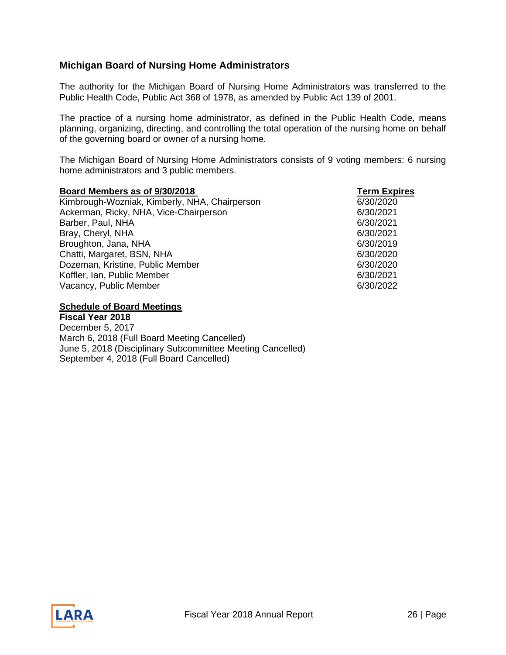#### <span id="page-25-0"></span>**Michigan Board of Nursing Home Administrators**

The authority for the Michigan Board of Nursing Home Administrators was transferred to the Public Health Code, Public Act 368 of 1978, as amended by Public Act 139 of 2001.

The practice of a nursing home administrator, as defined in the Public Health Code, means planning, organizing, directing, and controlling the total operation of the nursing home on behalf of the governing board or owner of a nursing home.

The Michigan Board of Nursing Home Administrators consists of 9 voting members: 6 nursing home administrators and 3 public members.

#### **Board Members as of 9/30/2018** Term Expires

Kimbrough-Wozniak, Kimberly, NHA, Chairperson 6/30/2020 Ackerman, Ricky, NHA, Vice-Chairperson **6/30/2021** Barber, Paul, NHA 6/30/2021 Bray, Cheryl, NHA 6/30/2021 Broughton, Jana, NHA 6/30/2019 Chatti, Margaret, BSN, NHA 6/30/2020 Dozeman, Kristine, Public Member 6/30/2020 Koffler, Ian, Public Member 6/30/2021 Vacancy, Public Member 6/30/2022

#### **Schedule of Board Meetings**

**Fiscal Year 2018** December 5, 2017 March 6, 2018 (Full Board Meeting Cancelled) June 5, 2018 (Disciplinary Subcommittee Meeting Cancelled) September 4, 2018 (Full Board Cancelled)

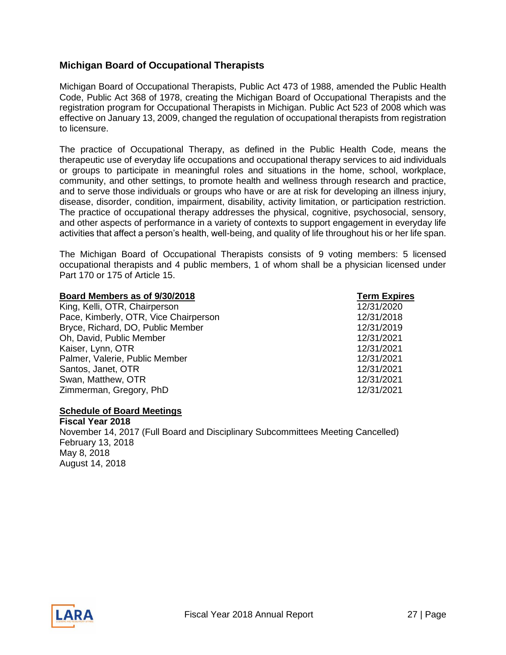#### <span id="page-26-0"></span>**Michigan Board of Occupational Therapists**

Michigan Board of Occupational Therapists, Public Act 473 of 1988, amended the Public Health Code, Public Act 368 of 1978, creating the Michigan Board of Occupational Therapists and the registration program for Occupational Therapists in Michigan. Public Act 523 of 2008 which was effective on January 13, 2009, changed the regulation of occupational therapists from registration to licensure.

The practice of Occupational Therapy, as defined in the Public Health Code, means the therapeutic use of everyday life occupations and occupational therapy services to aid individuals or groups to participate in meaningful roles and situations in the home, school, workplace, community, and other settings, to promote health and wellness through research and practice, and to serve those individuals or groups who have or are at risk for developing an illness injury, disease, disorder, condition, impairment, disability, activity limitation, or participation restriction. The practice of occupational therapy addresses the physical, cognitive, psychosocial, sensory, and other aspects of performance in a variety of contexts to support engagement in everyday life activities that affect a person's health, well-being, and quality of life throughout his or her life span.

The Michigan Board of Occupational Therapists consists of 9 voting members: 5 licensed occupational therapists and 4 public members, 1 of whom shall be a physician licensed under Part 170 or 175 of Article 15.

| Board Members as of 9/30/2018         | <b>Term Expires</b> |
|---------------------------------------|---------------------|
| King, Kelli, OTR, Chairperson         | 12/31/2020          |
| Pace, Kimberly, OTR, Vice Chairperson | 12/31/2018          |
| Bryce, Richard, DO, Public Member     | 12/31/2019          |
| Oh, David, Public Member              | 12/31/2021          |
| Kaiser, Lynn, OTR                     | 12/31/2021          |
| Palmer, Valerie, Public Member        | 12/31/2021          |
| Santos, Janet, OTR                    | 12/31/2021          |
| Swan, Matthew, OTR                    | 12/31/2021          |
| Zimmerman, Gregory, PhD               | 12/31/2021          |
|                                       |                     |

#### **Schedule of Board Meetings**

**Fiscal Year 2018**  November 14, 2017 (Full Board and Disciplinary Subcommittees Meeting Cancelled) February 13, 2018 May 8, 2018 August 14, 2018

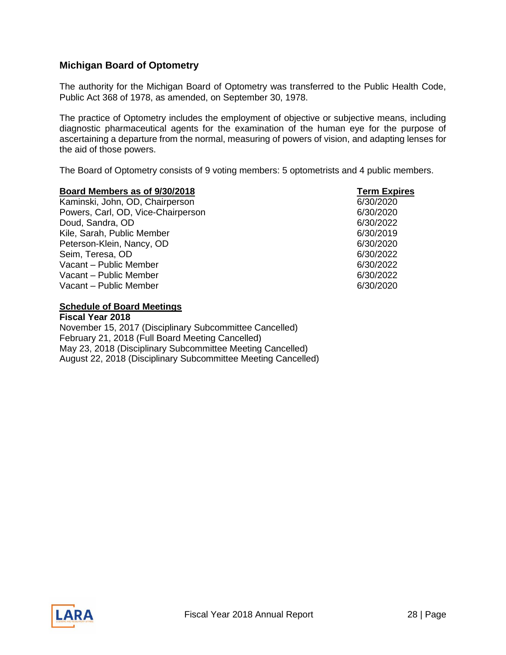#### <span id="page-27-0"></span>**Michigan Board of Optometry**

The authority for the Michigan Board of Optometry was transferred to the Public Health Code, Public Act 368 of 1978, as amended, on September 30, 1978.

The practice of Optometry includes the employment of objective or subjective means, including diagnostic pharmaceutical agents for the examination of the human eye for the purpose of ascertaining a departure from the normal, measuring of powers of vision, and adapting lenses for the aid of those powers.

The Board of Optometry consists of 9 voting members: 5 optometrists and 4 public members.

#### **Board Members as of 9/30/2018 Term Expires**  Kaminski, John, OD, Chairperson 6/30/2020 Powers, Carl, OD, Vice-Chairperson 6/30/2020 Doud, Sandra, OD 6/30/2022 Kile, Sarah, Public Member 6/30/2019 Peterson-Klein, Nancy, OD 6/30/2020 Seim, Teresa, OD 6/30/2022 Vacant – Public Member 6/30/2022 Vacant – Public Member 6/30/2022 Vacant – Public Member 6/30/2020 by the first state of  $\sim$  6/30/2020 for  $\sim$  6/30/2020 for  $\sim$  6/30/2020 for  $\sim$  6/30/2020 for  $\sim$  6/30/2020 for  $\sim$  6/30/2020 for  $\sim$  6/30/2020 for  $\sim$  6/30/2020 for  $\sim$  6/30/2020

#### **Schedule of Board Meetings**

**Fiscal Year 2018**  November 15, 2017 (Disciplinary Subcommittee Cancelled) February 21, 2018 (Full Board Meeting Cancelled) May 23, 2018 (Disciplinary Subcommittee Meeting Cancelled) August 22, 2018 (Disciplinary Subcommittee Meeting Cancelled)

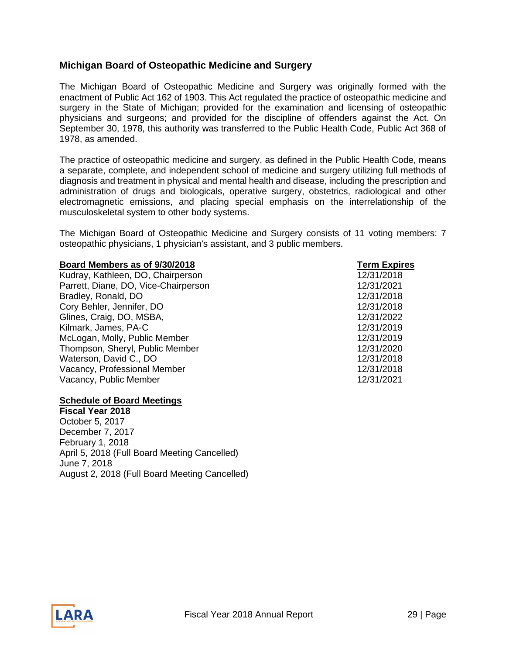#### <span id="page-28-0"></span>**Michigan Board of Osteopathic Medicine and Surgery**

The Michigan Board of Osteopathic Medicine and Surgery was originally formed with the enactment of Public Act 162 of 1903. This Act regulated the practice of osteopathic medicine and surgery in the State of Michigan; provided for the examination and licensing of osteopathic physicians and surgeons; and provided for the discipline of offenders against the Act. On September 30, 1978, this authority was transferred to the Public Health Code, Public Act 368 of 1978, as amended.

The practice of osteopathic medicine and surgery, as defined in the Public Health Code, means a separate, complete, and independent school of medicine and surgery utilizing full methods of diagnosis and treatment in physical and mental health and disease, including the prescription and administration of drugs and biologicals, operative surgery, obstetrics, radiological and other electromagnetic emissions, and placing special emphasis on the interrelationship of the musculoskeletal system to other body systems.

The Michigan Board of Osteopathic Medicine and Surgery consists of 11 voting members: 7 osteopathic physicians, 1 physician's assistant, and 3 public members.

#### **Board Members as of 9/30/2018 Term Expires**

Kudray, Kathleen, DO, Chairperson Parrett, Diane, DO, Vice-Chairperson Bradley, Ronald, DO Cory Behler, Jennifer, DO Glines, Craig, DO, MSBA, Kilmark, James, PA-C McLogan, Molly, Public Member Thompson, Sheryl, Public Member Waterson, David C., DO Vacancy, Professional Member Vacancy, Public Member 12/31/2021

#### **Schedule of Board Meetings**

**Fiscal Year 2018** October 5, 2017 December 7, 2017 February 1, 2018 April 5, 2018 (Full Board Meeting Cancelled) June 7, 2018 August 2, 2018 (Full Board Meeting Cancelled)

| rerm expire: |
|--------------|
| 12/31/2018   |
| 12/31/2021   |
| 12/31/2018   |
| 12/31/2018   |
| 12/31/2022   |
| 12/31/2019   |
| 12/31/2019   |
| 12/31/2020   |
| 12/31/2018   |
| 12/31/2018   |
|              |

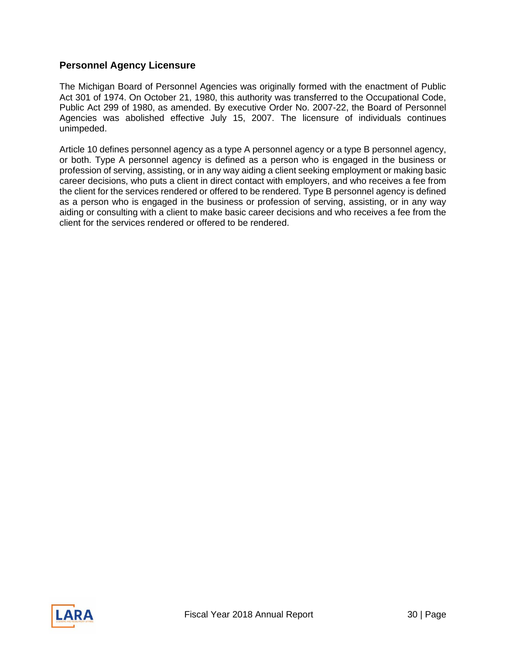#### <span id="page-29-0"></span>**Personnel Agency Licensure**

The Michigan Board of Personnel Agencies was originally formed with the enactment of Public Act 301 of 1974. On October 21, 1980, this authority was transferred to the Occupational Code, Public Act 299 of 1980, as amended. By executive Order No. 2007-22, the Board of Personnel Agencies was abolished effective July 15, 2007. The licensure of individuals continues unimpeded.

Article 10 defines personnel agency as a type A personnel agency or a type B personnel agency, or both. Type A personnel agency is defined as a person who is engaged in the business or profession of serving, assisting, or in any way aiding a client seeking employment or making basic career decisions, who puts a client in direct contact with employers, and who receives a fee from the client for the services rendered or offered to be rendered. Type B personnel agency is defined as a person who is engaged in the business or profession of serving, assisting, or in any way aiding or consulting with a client to make basic career decisions and who receives a fee from the client for the services rendered or offered to be rendered.

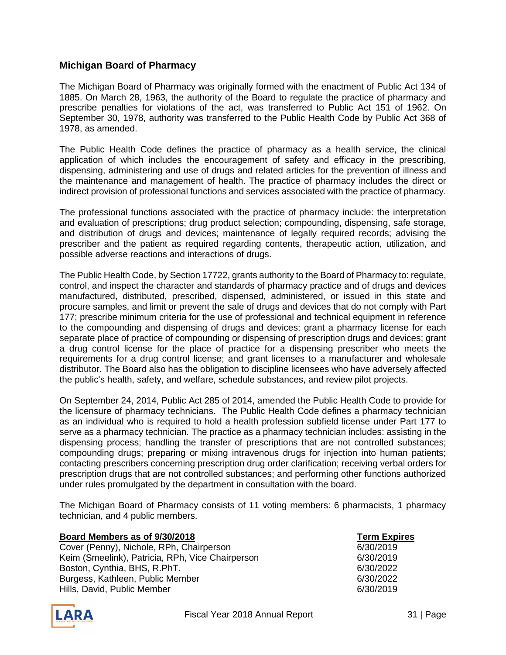#### <span id="page-30-0"></span>**Michigan Board of Pharmacy**

The Michigan Board of Pharmacy was originally formed with the enactment of Public Act 134 of 1885. On March 28, 1963, the authority of the Board to regulate the practice of pharmacy and prescribe penalties for violations of the act, was transferred to Public Act 151 of 1962. On September 30, 1978, authority was transferred to the Public Health Code by Public Act 368 of 1978, as amended.

The Public Health Code defines the practice of pharmacy as a health service, the clinical application of which includes the encouragement of safety and efficacy in the prescribing, dispensing, administering and use of drugs and related articles for the prevention of illness and the maintenance and management of health. The practice of pharmacy includes the direct or indirect provision of professional functions and services associated with the practice of pharmacy.

The professional functions associated with the practice of pharmacy include: the interpretation and evaluation of prescriptions; drug product selection; compounding, dispensing, safe storage, and distribution of drugs and devices; maintenance of legally required records; advising the prescriber and the patient as required regarding contents, therapeutic action, utilization, and possible adverse reactions and interactions of drugs.

The Public Health Code, by Section 17722, grants authority to the Board of Pharmacy to: regulate, control, and inspect the character and standards of pharmacy practice and of drugs and devices manufactured, distributed, prescribed, dispensed, administered, or issued in this state and procure samples, and limit or prevent the sale of drugs and devices that do not comply with Part 177; prescribe minimum criteria for the use of professional and technical equipment in reference to the compounding and dispensing of drugs and devices; grant a pharmacy license for each separate place of practice of compounding or dispensing of prescription drugs and devices; grant a drug control license for the place of practice for a dispensing prescriber who meets the requirements for a drug control license; and grant licenses to a manufacturer and wholesale distributor. The Board also has the obligation to discipline licensees who have adversely affected the public's health, safety, and welfare, schedule substances, and review pilot projects.

On September 24, 2014, Public Act 285 of 2014, amended the Public Health Code to provide for the licensure of pharmacy technicians. The Public Health Code defines a pharmacy technician as an individual who is required to hold a health profession subfield license under Part 177 to serve as a pharmacy technician. The practice as a pharmacy technician includes: assisting in the dispensing process; handling the transfer of prescriptions that are not controlled substances; compounding drugs; preparing or mixing intravenous drugs for injection into human patients; contacting prescribers concerning prescription drug order clarification; receiving verbal orders for prescription drugs that are not controlled substances; and performing other functions authorized under rules promulgated by the department in consultation with the board.

The Michigan Board of Pharmacy consists of 11 voting members: 6 pharmacists, 1 pharmacy technician, and 4 public members.

| Board Members as of 9/30/2018                    | <b>Term Expires</b> |
|--------------------------------------------------|---------------------|
| Cover (Penny), Nichole, RPh, Chairperson         | 6/30/2019           |
| Keim (Smeelink), Patricia, RPh, Vice Chairperson | 6/30/2019           |
| Boston, Cynthia, BHS, R.PhT.                     | 6/30/2022           |
| Burgess, Kathleen, Public Member                 | 6/30/2022           |
| Hills, David, Public Member                      | 6/30/2019           |

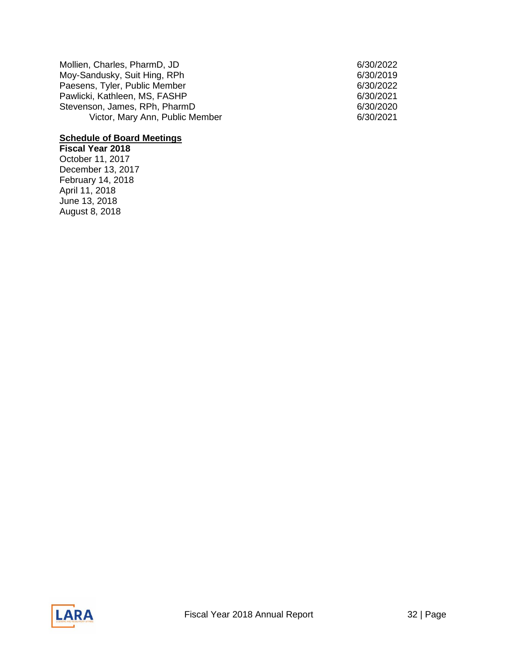| Mollien, Charles, PharmD, JD    |  |
|---------------------------------|--|
| Moy-Sandusky, Suit Hing, RPh    |  |
| Paesens, Tyler, Public Member   |  |
| Pawlicki, Kathleen, MS, FASHP   |  |
| Stevenson, James, RPh, PharmD   |  |
| Victor, Mary Ann, Public Member |  |

### **Schedule of Board Meetings**

**Fiscal Year 2018**  October 11, 2017 December 13, 2017 February 14, 2018 April 11, 2018 June 13, 2018 August 8, 2018

6/30/2022 6/30/2019 6/30/2022  $6/30/2021$ 6/30/2020 6/30/2021

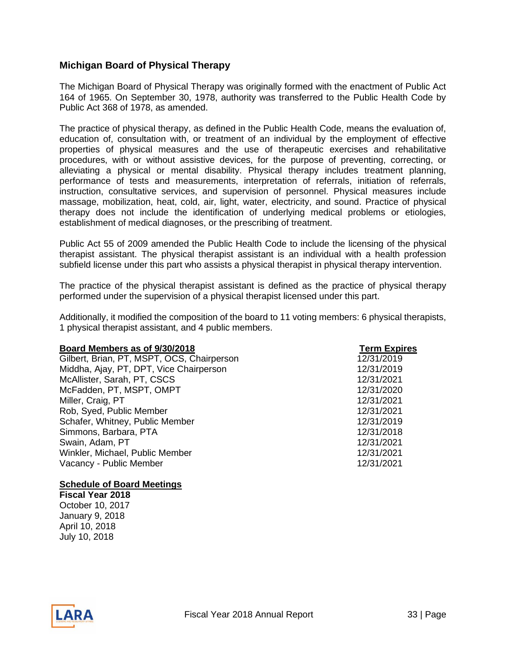#### <span id="page-32-0"></span>**Michigan Board of Physical Therapy**

The Michigan Board of Physical Therapy was originally formed with the enactment of Public Act 164 of 1965. On September 30, 1978, authority was transferred to the Public Health Code by Public Act 368 of 1978, as amended.

The practice of physical therapy, as defined in the Public Health Code, means the evaluation of, education of, consultation with, or treatment of an individual by the employment of effective properties of physical measures and the use of therapeutic exercises and rehabilitative procedures, with or without assistive devices, for the purpose of preventing, correcting, or alleviating a physical or mental disability. Physical therapy includes treatment planning, performance of tests and measurements, interpretation of referrals, initiation of referrals, instruction, consultative services, and supervision of personnel. Physical measures include massage, mobilization, heat, cold, air, light, water, electricity, and sound. Practice of physical therapy does not include the identification of underlying medical problems or etiologies, establishment of medical diagnoses, or the prescribing of treatment.

Public Act 55 of 2009 amended the Public Health Code to include the licensing of the physical therapist assistant. The physical therapist assistant is an individual with a health profession subfield license under this part who assists a physical therapist in physical therapy intervention.

The practice of the physical therapist assistant is defined as the practice of physical therapy performed under the supervision of a physical therapist licensed under this part.

Additionally, it modified the composition of the board to 11 voting members: 6 physical therapists, 1 physical therapist assistant, and 4 public members.

| Board Members as of 9/30/2018              | <b>Term Expires</b> |
|--------------------------------------------|---------------------|
| Gilbert, Brian, PT, MSPT, OCS, Chairperson | 12/31/2019          |
| Middha, Ajay, PT, DPT, Vice Chairperson    | 12/31/2019          |
| McAllister, Sarah, PT, CSCS                | 12/31/2021          |
| McFadden, PT, MSPT, OMPT                   | 12/31/2020          |
| Miller, Craig, PT                          | 12/31/2021          |
| Rob, Syed, Public Member                   | 12/31/2021          |
| Schafer, Whitney, Public Member            | 12/31/2019          |
| Simmons, Barbara, PTA                      | 12/31/2018          |
| Swain, Adam, PT                            | 12/31/2021          |
| Winkler, Michael, Public Member            | 12/31/2021          |
| Vacancy - Public Member                    | 12/31/2021          |

#### **Schedule of Board Meetings**

**Fiscal Year 2018**  October 10, 2017 January 9, 2018 April 10, 2018 July 10, 2018

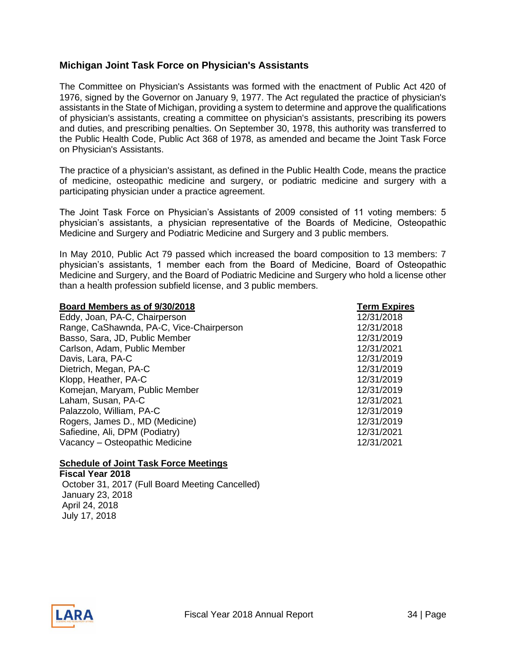#### <span id="page-33-0"></span>**Michigan Joint Task Force on Physician's Assistants**

The Committee on Physician's Assistants was formed with the enactment of Public Act 420 of 1976, signed by the Governor on January 9, 1977. The Act regulated the practice of physician's assistants in the State of Michigan, providing a system to determine and approve the qualifications of physician's assistants, creating a committee on physician's assistants, prescribing its powers and duties, and prescribing penalties. On September 30, 1978, this authority was transferred to the Public Health Code, Public Act 368 of 1978, as amended and became the Joint Task Force on Physician's Assistants.

The practice of a physician's assistant, as defined in the Public Health Code, means the practice of medicine, osteopathic medicine and surgery, or podiatric medicine and surgery with a participating physician under a practice agreement.

The Joint Task Force on Physician's Assistants of 2009 consisted of 11 voting members: 5 physician's assistants, a physician representative of the Boards of Medicine, Osteopathic Medicine and Surgery and Podiatric Medicine and Surgery and 3 public members.

In May 2010, Public Act 79 passed which increased the board composition to 13 members: 7 physician's assistants, 1 member each from the Board of Medicine, Board of Osteopathic Medicine and Surgery, and the Board of Podiatric Medicine and Surgery who hold a license other than a health profession subfield license, and 3 public members.

| <b>Term Expires</b> |
|---------------------|
| 12/31/2018          |
| 12/31/2018          |
| 12/31/2019          |
| 12/31/2021          |
| 12/31/2019          |
| 12/31/2019          |
| 12/31/2019          |
| 12/31/2019          |
| 12/31/2021          |
| 12/31/2019          |
| 12/31/2019          |
| 12/31/2021          |
| 12/31/2021          |
|                     |

#### **Schedule of Joint Task Force Meetings**

**Fiscal Year 2018** October 31, 2017 (Full Board Meeting Cancelled) January 23, 2018 April 24, 2018 July 17, 2018

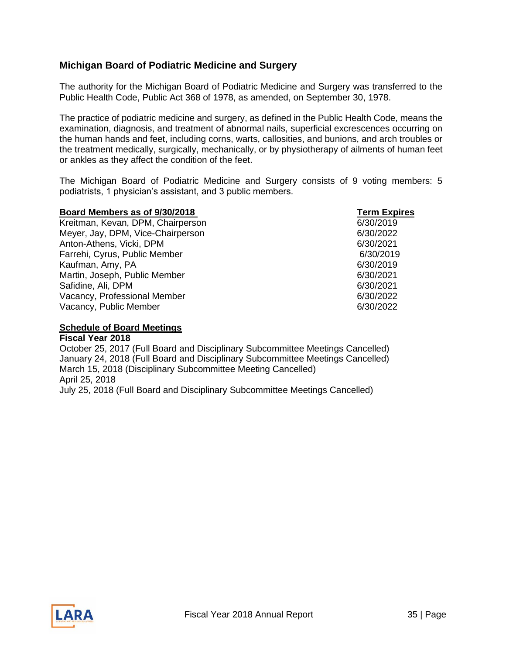#### <span id="page-34-0"></span>**Michigan Board of Podiatric Medicine and Surgery**

The authority for the Michigan Board of Podiatric Medicine and Surgery was transferred to the Public Health Code, Public Act 368 of 1978, as amended, on September 30, 1978.

The practice of podiatric medicine and surgery, as defined in the Public Health Code, means the examination, diagnosis, and treatment of abnormal nails, superficial excrescences occurring on the human hands and feet, including corns, warts, callosities, and bunions, and arch troubles or the treatment medically, surgically, mechanically, or by physiotherapy of ailments of human feet or ankles as they affect the condition of the feet.

The Michigan Board of Podiatric Medicine and Surgery consists of 9 voting members: 5 podiatrists, 1 physician's assistant, and 3 public members.

| Board Members as of 9/30/2018     | <b>Term Expires</b> |
|-----------------------------------|---------------------|
| Kreitman, Kevan, DPM, Chairperson | 6/30/2019           |
| Meyer, Jay, DPM, Vice-Chairperson | 6/30/2022           |
| Anton-Athens, Vicki, DPM          | 6/30/2021           |
| Farrehi, Cyrus, Public Member     | 6/30/2019           |
| Kaufman, Amy, PA                  | 6/30/2019           |
| Martin, Joseph, Public Member     | 6/30/2021           |
| Safidine, Ali, DPM                | 6/30/2021           |
| Vacancy, Professional Member      | 6/30/2022           |
| Vacancy, Public Member            | 6/30/2022           |

#### **Schedule of Board Meetings**

**Fiscal Year 2018** October 25, 2017 (Full Board and Disciplinary Subcommittee Meetings Cancelled) January 24, 2018 (Full Board and Disciplinary Subcommittee Meetings Cancelled) March 15, 2018 (Disciplinary Subcommittee Meeting Cancelled) April 25, 2018 July 25, 2018 (Full Board and Disciplinary Subcommittee Meetings Cancelled)

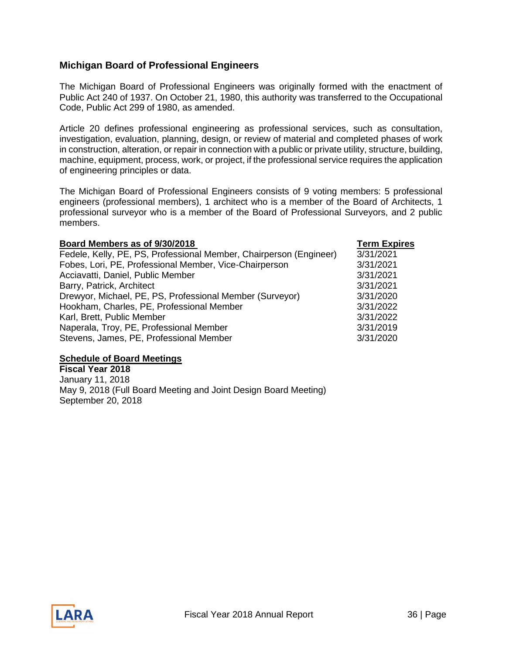#### <span id="page-35-0"></span>**Michigan Board of Professional Engineers**

The Michigan Board of Professional Engineers was originally formed with the enactment of Public Act 240 of 1937. On October 21, 1980, this authority was transferred to the Occupational Code, Public Act 299 of 1980, as amended.

Article 20 defines professional engineering as professional services, such as consultation, investigation, evaluation, planning, design, or review of material and completed phases of work in construction, alteration, or repair in connection with a public or private utility, structure, building, machine, equipment, process, work, or project, if the professional service requires the application of engineering principles or data.

The Michigan Board of Professional Engineers consists of 9 voting members: 5 professional engineers (professional members), 1 architect who is a member of the Board of Architects, 1 professional surveyor who is a member of the Board of Professional Surveyors, and 2 public members.

| Board Members as of 9/30/2018                                      | <b>Term Expires</b> |
|--------------------------------------------------------------------|---------------------|
| Fedele, Kelly, PE, PS, Professional Member, Chairperson (Engineer) | 3/31/2021           |
| Fobes, Lori, PE, Professional Member, Vice-Chairperson             | 3/31/2021           |
| Acciavatti, Daniel, Public Member                                  | 3/31/2021           |
| Barry, Patrick, Architect                                          | 3/31/2021           |
| Drewyor, Michael, PE, PS, Professional Member (Surveyor)           | 3/31/2020           |
| Hookham, Charles, PE, Professional Member                          | 3/31/2022           |
| Karl, Brett, Public Member                                         | 3/31/2022           |
| Naperala, Troy, PE, Professional Member                            | 3/31/2019           |
| Stevens, James, PE, Professional Member                            | 3/31/2020           |

#### **Schedule of Board Meetings**

**Fiscal Year 2018** January 11, 2018 May 9, 2018 (Full Board Meeting and Joint Design Board Meeting) September 20, 2018

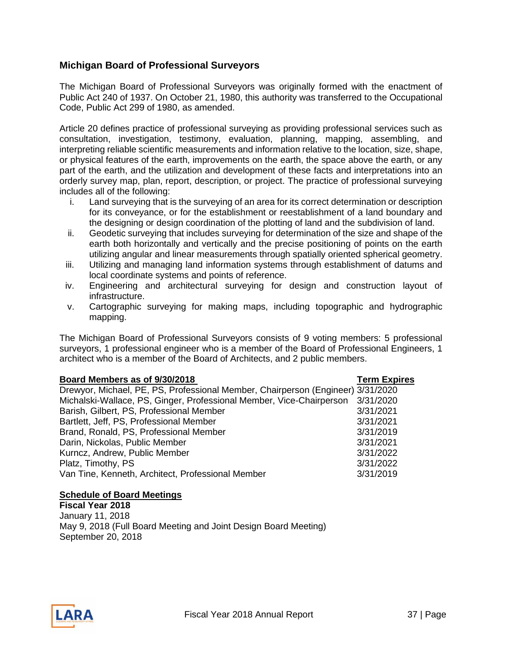#### <span id="page-36-0"></span>**Michigan Board of Professional Surveyors**

The Michigan Board of Professional Surveyors was originally formed with the enactment of Public Act 240 of 1937. On October 21, 1980, this authority was transferred to the Occupational Code, Public Act 299 of 1980, as amended.

Article 20 defines practice of professional surveying as providing professional services such as consultation, investigation, testimony, evaluation, planning, mapping, assembling, and interpreting reliable scientific measurements and information relative to the location, size, shape, or physical features of the earth, improvements on the earth, the space above the earth, or any part of the earth, and the utilization and development of these facts and interpretations into an orderly survey map, plan, report, description, or project. The practice of professional surveying includes all of the following:

- i. Land surveying that is the surveying of an area for its correct determination or description for its conveyance, or for the establishment or reestablishment of a land boundary and the designing or design coordination of the plotting of land and the subdivision of land.
- ii. Geodetic surveying that includes surveying for determination of the size and shape of the earth both horizontally and vertically and the precise positioning of points on the earth utilizing angular and linear measurements through spatially oriented spherical geometry.
- iii. Utilizing and managing land information systems through establishment of datums and local coordinate systems and points of reference.
- iv. Engineering and architectural surveying for design and construction layout of infrastructure.
- v. Cartographic surveying for making maps, including topographic and hydrographic mapping.

The Michigan Board of Professional Surveyors consists of 9 voting members: 5 professional surveyors, 1 professional engineer who is a member of the Board of Professional Engineers, 1 architect who is a member of the Board of Architects, and 2 public members.

#### **Board Members as of 9/30/2018 Term Expires**

| Drewyor, Michael, PE, PS, Professional Member, Chairperson (Engineer) 3/31/2020 |           |
|---------------------------------------------------------------------------------|-----------|
| Michalski-Wallace, PS, Ginger, Professional Member, Vice-Chairperson            | 3/31/2020 |
| Barish, Gilbert, PS, Professional Member                                        | 3/31/2021 |
| Bartlett, Jeff, PS, Professional Member                                         | 3/31/2021 |
| Brand, Ronald, PS, Professional Member                                          | 3/31/2019 |
| Darin, Nickolas, Public Member                                                  | 3/31/2021 |
| Kurncz, Andrew, Public Member                                                   | 3/31/2022 |
| Platz, Timothy, PS                                                              | 3/31/2022 |
| Van Tine, Kenneth, Architect, Professional Member                               | 3/31/2019 |
|                                                                                 |           |

#### **Schedule of Board Meetings**

**Fiscal Year 2018** January 11, 2018 May 9, 2018 (Full Board Meeting and Joint Design Board Meeting) September 20, 2018

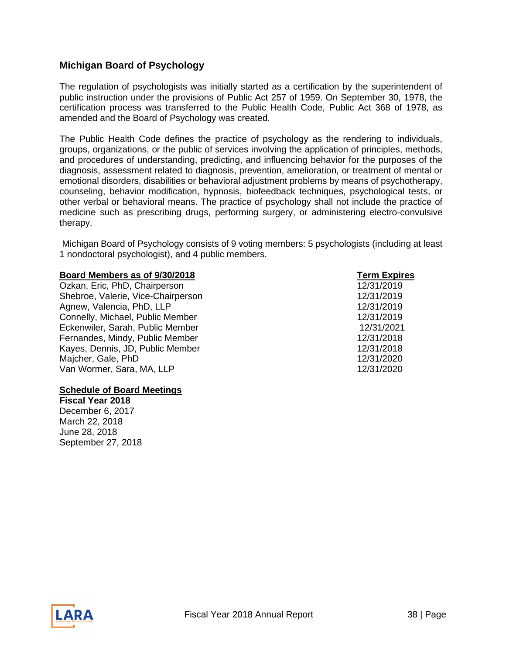#### <span id="page-37-0"></span>**Michigan Board of Psychology**

The regulation of psychologists was initially started as a certification by the superintendent of public instruction under the provisions of Public Act 257 of 1959. On September 30, 1978, the certification process was transferred to the Public Health Code, Public Act 368 of 1978, as amended and the Board of Psychology was created.

The Public Health Code defines the practice of psychology as the rendering to individuals, groups, organizations, or the public of services involving the application of principles, methods, and procedures of understanding, predicting, and influencing behavior for the purposes of the diagnosis, assessment related to diagnosis, prevention, amelioration, or treatment of mental or emotional disorders, disabilities or behavioral adjustment problems by means of psychotherapy, counseling, behavior modification, hypnosis, biofeedback techniques, psychological tests, or other verbal or behavioral means. The practice of psychology shall not include the practice of medicine such as prescribing drugs, performing surgery, or administering electro-convulsive therapy.

Michigan Board of Psychology consists of 9 voting members: 5 psychologists (including at least 1 nondoctoral psychologist), and 4 public members.

#### **Board Members as of 9/30/2018 Term Expires**

Ozkan, Eric, PhD, Chairperson 12/31/2019 Shebroe, Valerie, Vice-Chairperson 12/31/2019 Agnew, Valencia, PhD, LLP 12/31/2019 Connelly, Michael, Public Member 12/31/2019 Eckenwiler, Sarah, Public Member 12/31/2021 Fernandes, Mindy, Public Member 12/31/2018 Kayes, Dennis, JD, Public Member 12/31/2018 Majcher, Gale, PhD 12/31/2020 Van Wormer, Sara, MA, LLP 12/31/2020

#### **Schedule of Board Meetings**

**Fiscal Year 2018** December 6, 2017 March 22, 2018 June 28, 2018 September 27, 2018

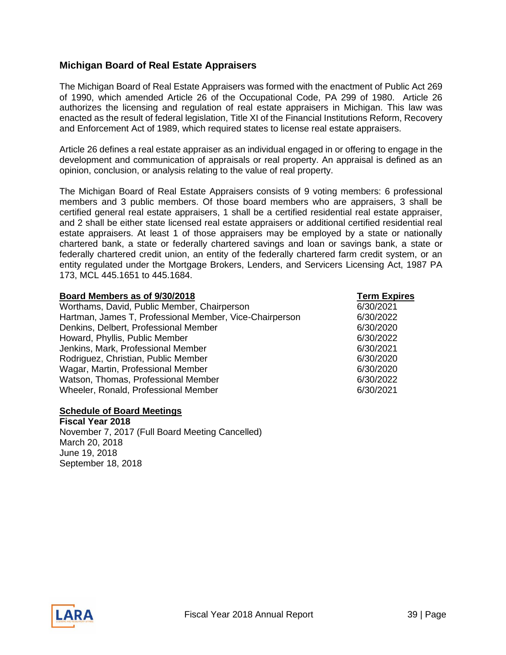#### <span id="page-38-0"></span>**Michigan Board of Real Estate Appraisers**

The Michigan Board of Real Estate Appraisers was formed with the enactment of Public Act 269 of 1990, which amended Article 26 of the Occupational Code, PA 299 of 1980. Article 26 authorizes the licensing and regulation of real estate appraisers in Michigan. This law was enacted as the result of federal legislation, Title XI of the Financial Institutions Reform, Recovery and Enforcement Act of 1989, which required states to license real estate appraisers.

Article 26 defines a real estate appraiser as an individual engaged in or offering to engage in the development and communication of appraisals or real property. An appraisal is defined as an opinion, conclusion, or analysis relating to the value of real property.

The Michigan Board of Real Estate Appraisers consists of 9 voting members: 6 professional members and 3 public members. Of those board members who are appraisers, 3 shall be certified general real estate appraisers, 1 shall be a certified residential real estate appraiser, and 2 shall be either state licensed real estate appraisers or additional certified residential real estate appraisers. At least 1 of those appraisers may be employed by a state or nationally chartered bank, a state or federally chartered savings and loan or savings bank, a state or federally chartered credit union, an entity of the federally chartered farm credit system, or an entity regulated under the Mortgage Brokers, Lenders, and Servicers Licensing Act, 1987 PA 173, MCL 445.1651 to 445.1684.

| Board Members as of 9/30/2018                           | <b>Term Expires</b> |
|---------------------------------------------------------|---------------------|
| Worthams, David, Public Member, Chairperson             | 6/30/2021           |
| Hartman, James T, Professional Member, Vice-Chairperson | 6/30/2022           |
| Denkins, Delbert, Professional Member                   | 6/30/2020           |
| Howard, Phyllis, Public Member                          | 6/30/2022           |
| Jenkins, Mark, Professional Member                      | 6/30/2021           |
| Rodriguez, Christian, Public Member                     | 6/30/2020           |
| Wagar, Martin, Professional Member                      | 6/30/2020           |
| Watson, Thomas, Professional Member                     | 6/30/2022           |
| Wheeler, Ronald, Professional Member                    | 6/30/2021           |
|                                                         |                     |

#### **Schedule of Board Meetings**

**Fiscal Year 2018**  November 7, 2017 (Full Board Meeting Cancelled) March 20, 2018 June 19, 2018 September 18, 2018

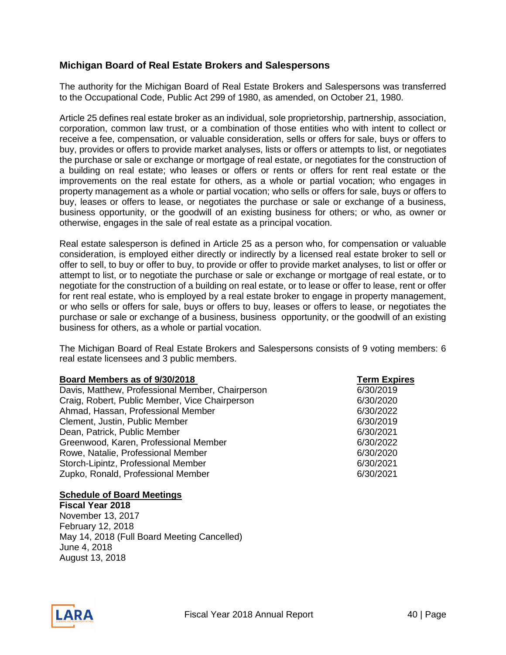#### <span id="page-39-0"></span>**Michigan Board of Real Estate Brokers and Salespersons**

The authority for the Michigan Board of Real Estate Brokers and Salespersons was transferred to the Occupational Code, Public Act 299 of 1980, as amended, on October 21, 1980.

Article 25 defines real estate broker as an individual, sole proprietorship, partnership, association, corporation, common law trust, or a combination of those entities who with intent to collect or receive a fee, compensation, or valuable consideration, sells or offers for sale, buys or offers to buy, provides or offers to provide market analyses, lists or offers or attempts to list, or negotiates the purchase or sale or exchange or mortgage of real estate, or negotiates for the construction of a building on real estate; who leases or offers or rents or offers for rent real estate or the improvements on the real estate for others, as a whole or partial vocation; who engages in property management as a whole or partial vocation; who sells or offers for sale, buys or offers to buy, leases or offers to lease, or negotiates the purchase or sale or exchange of a business, business opportunity, or the goodwill of an existing business for others; or who, as owner or otherwise, engages in the sale of real estate as a principal vocation.

Real estate salesperson is defined in Article 25 as a person who, for compensation or valuable consideration, is employed either directly or indirectly by a licensed real estate broker to sell or offer to sell, to buy or offer to buy, to provide or offer to provide market analyses, to list or offer or attempt to list, or to negotiate the purchase or sale or exchange or mortgage of real estate, or to negotiate for the construction of a building on real estate, or to lease or offer to lease, rent or offer for rent real estate, who is employed by a real estate broker to engage in property management, or who sells or offers for sale, buys or offers to buy, leases or offers to lease, or negotiates the purchase or sale or exchange of a business, business opportunity, or the goodwill of an existing business for others, as a whole or partial vocation.

The Michigan Board of Real Estate Brokers and Salespersons consists of 9 voting members: 6 real estate licensees and 3 public members.

#### **Board Members as of 9/30/2018** Term Expires

Davis, Matthew, Professional Member, Chairperson 6/30/2019 Craig, Robert, Public Member, Vice Chairperson 6/30/2020 Ahmad, Hassan, Professional Member 6/30/2022 Clement, Justin, Public Member 6/30/2019 Dean, Patrick, Public Member 6/30/2021 Greenwood, Karen, Professional Member 6/30/2022 Rowe, Natalie, Professional Member 6/30/2020 Storch-Lipintz, Professional Member 6/30/2021 Zupko, Ronald, Professional Member 6/30/2021

#### **Schedule of Board Meetings**

**Fiscal Year 2018**  November 13, 2017 February 12, 2018 May 14, 2018 (Full Board Meeting Cancelled) June 4, 2018 August 13, 2018

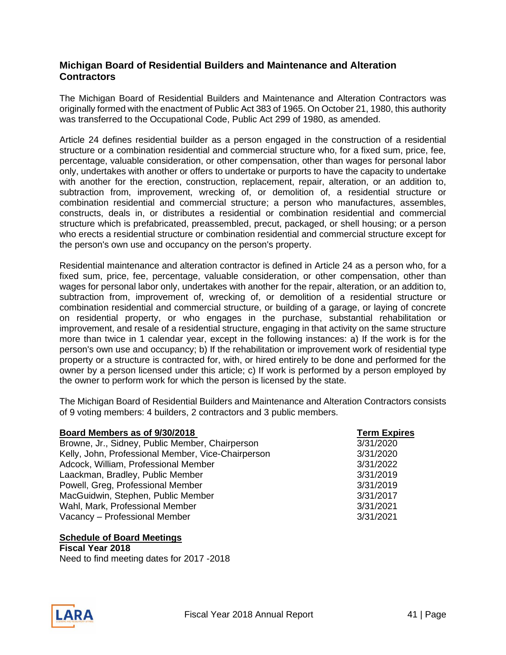#### <span id="page-40-0"></span>**Michigan Board of Residential Builders and Maintenance and Alteration Contractors**

The Michigan Board of Residential Builders and Maintenance and Alteration Contractors was originally formed with the enactment of Public Act 383 of 1965. On October 21, 1980, this authority was transferred to the Occupational Code, Public Act 299 of 1980, as amended.

Article 24 defines residential builder as a person engaged in the construction of a residential structure or a combination residential and commercial structure who, for a fixed sum, price, fee, percentage, valuable consideration, or other compensation, other than wages for personal labor only, undertakes with another or offers to undertake or purports to have the capacity to undertake with another for the erection, construction, replacement, repair, alteration, or an addition to, subtraction from, improvement, wrecking of, or demolition of, a residential structure or combination residential and commercial structure; a person who manufactures, assembles, constructs, deals in, or distributes a residential or combination residential and commercial structure which is prefabricated, preassembled, precut, packaged, or shell housing; or a person who erects a residential structure or combination residential and commercial structure except for the person's own use and occupancy on the person's property.

Residential maintenance and alteration contractor is defined in Article 24 as a person who, for a fixed sum, price, fee, percentage, valuable consideration, or other compensation, other than wages for personal labor only, undertakes with another for the repair, alteration, or an addition to, subtraction from, improvement of, wrecking of, or demolition of a residential structure or combination residential and commercial structure, or building of a garage, or laying of concrete on residential property, or who engages in the purchase, substantial rehabilitation or improvement, and resale of a residential structure, engaging in that activity on the same structure more than twice in 1 calendar year, except in the following instances: a) If the work is for the person's own use and occupancy; b) If the rehabilitation or improvement work of residential type property or a structure is contracted for, with, or hired entirely to be done and performed for the owner by a person licensed under this article; c) If work is performed by a person employed by the owner to perform work for which the person is licensed by the state.

The Michigan Board of Residential Builders and Maintenance and Alteration Contractors consists of 9 voting members: 4 builders, 2 contractors and 3 public members.

| Board Members as of 9/30/2018                      | <b>Term Expires</b> |
|----------------------------------------------------|---------------------|
| Browne, Jr., Sidney, Public Member, Chairperson    | 3/31/2020           |
| Kelly, John, Professional Member, Vice-Chairperson | 3/31/2020           |
| Adcock, William, Professional Member               | 3/31/2022           |
| Laackman, Bradley, Public Member                   | 3/31/2019           |
| Powell, Greg, Professional Member                  | 3/31/2019           |
| MacGuidwin, Stephen, Public Member                 | 3/31/2017           |
| Wahl, Mark, Professional Member                    | 3/31/2021           |
| Vacancy - Professional Member                      | 3/31/2021           |

**Schedule of Board Meetings Fiscal Year 2018**  Need to find meeting dates for 2017 -2018

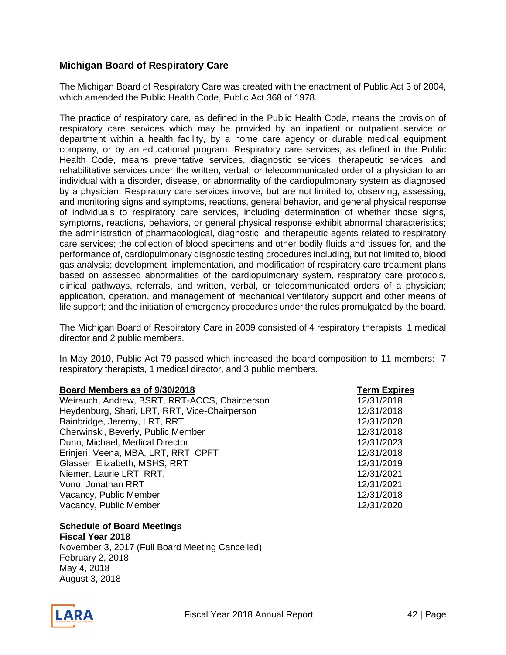### <span id="page-41-0"></span>**Michigan Board of Respiratory Care**

The Michigan Board of Respiratory Care was created with the enactment of Public Act 3 of 2004, which amended the Public Health Code, Public Act 368 of 1978.

The practice of respiratory care, as defined in the Public Health Code, means the provision of respiratory care services which may be provided by an inpatient or outpatient service or department within a health facility, by a home care agency or durable medical equipment company, or by an educational program. Respiratory care services, as defined in the Public Health Code, means preventative services, diagnostic services, therapeutic services, and rehabilitative services under the written, verbal, or telecommunicated order of a physician to an individual with a disorder, disease, or abnormality of the cardiopulmonary system as diagnosed by a physician. Respiratory care services involve, but are not limited to, observing, assessing, and monitoring signs and symptoms, reactions, general behavior, and general physical response of individuals to respiratory care services, including determination of whether those signs, symptoms, reactions, behaviors, or general physical response exhibit abnormal characteristics; the administration of pharmacological, diagnostic, and therapeutic agents related to respiratory care services; the collection of blood specimens and other bodily fluids and tissues for, and the performance of, cardiopulmonary diagnostic testing procedures including, but not limited to, blood gas analysis; development, implementation, and modification of respiratory care treatment plans based on assessed abnormalities of the cardiopulmonary system, respiratory care protocols, clinical pathways, referrals, and written, verbal, or telecommunicated orders of a physician; application, operation, and management of mechanical ventilatory support and other means of life support; and the initiation of emergency procedures under the rules promulgated by the board.

The Michigan Board of Respiratory Care in 2009 consisted of 4 respiratory therapists, 1 medical director and 2 public members.

In May 2010, Public Act 79 passed which increased the board composition to 11 members: 7 respiratory therapists, 1 medical director, and 3 public members.

| Board Members as of 9/30/2018                 | <b>Term Expires</b> |
|-----------------------------------------------|---------------------|
| Weirauch, Andrew, BSRT, RRT-ACCS, Chairperson | 12/31/2018          |
| Heydenburg, Shari, LRT, RRT, Vice-Chairperson | 12/31/2018          |
| Bainbridge, Jeremy, LRT, RRT                  | 12/31/2020          |
| Cherwinski, Beverly, Public Member            | 12/31/2018          |
| Dunn, Michael, Medical Director               | 12/31/2023          |
| Erinjeri, Veena, MBA, LRT, RRT, CPFT          | 12/31/2018          |
| Glasser, Elizabeth, MSHS, RRT                 | 12/31/2019          |
| Niemer, Laurie LRT, RRT,                      | 12/31/2021          |
| Vono, Jonathan RRT                            | 12/31/2021          |
| Vacancy, Public Member                        | 12/31/2018          |
| Vacancy, Public Member                        | 12/31/2020          |

#### **Schedule of Board Meetings**

**Fiscal Year 2018**  November 3, 2017 (Full Board Meeting Cancelled) February 2, 2018 May 4, 2018 August 3, 2018

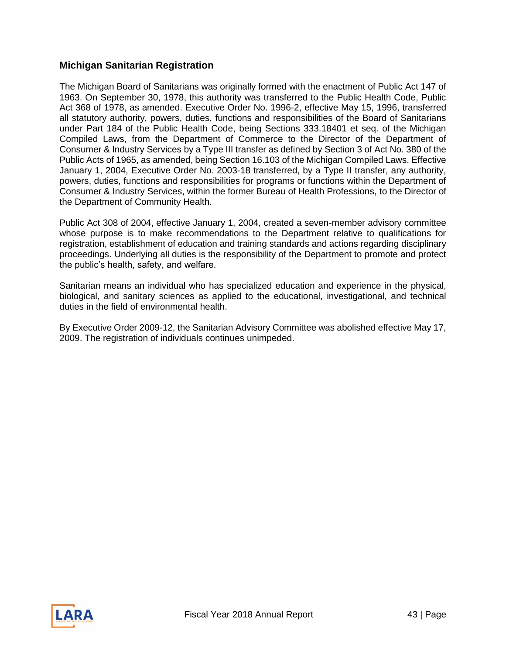#### <span id="page-42-0"></span>**Michigan Sanitarian Registration**

The Michigan Board of Sanitarians was originally formed with the enactment of Public Act 147 of 1963. On September 30, 1978, this authority was transferred to the Public Health Code, Public Act 368 of 1978, as amended. Executive Order No. 1996-2, effective May 15, 1996, transferred all statutory authority, powers, duties, functions and responsibilities of the Board of Sanitarians under Part 184 of the Public Health Code, being Sections 333.18401 et seq. of the Michigan Compiled Laws, from the Department of Commerce to the Director of the Department of Consumer & Industry Services by a Type III transfer as defined by Section 3 of Act No. 380 of the Public Acts of 1965, as amended, being Section 16.103 of the Michigan Compiled Laws. Effective January 1, 2004, Executive Order No. 2003-18 transferred, by a Type II transfer, any authority, powers, duties, functions and responsibilities for programs or functions within the Department of Consumer & Industry Services, within the former Bureau of Health Professions, to the Director of the Department of Community Health.

Public Act 308 of 2004, effective January 1, 2004, created a seven-member advisory committee whose purpose is to make recommendations to the Department relative to qualifications for registration, establishment of education and training standards and actions regarding disciplinary proceedings. Underlying all duties is the responsibility of the Department to promote and protect the public's health, safety, and welfare.

Sanitarian means an individual who has specialized education and experience in the physical, biological, and sanitary sciences as applied to the educational, investigational, and technical duties in the field of environmental health.

By Executive Order 2009-12, the Sanitarian Advisory Committee was abolished effective May 17, 2009. The registration of individuals continues unimpeded.

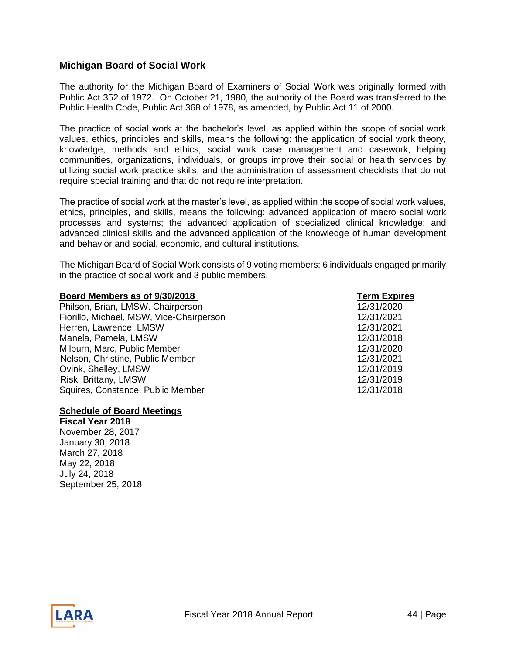#### <span id="page-43-0"></span>**Michigan Board of Social Work**

The authority for the Michigan Board of Examiners of Social Work was originally formed with Public Act 352 of 1972. On October 21, 1980, the authority of the Board was transferred to the Public Health Code, Public Act 368 of 1978, as amended, by Public Act 11 of 2000.

The practice of social work at the bachelor's level, as applied within the scope of social work values, ethics, principles and skills, means the following: the application of social work theory, knowledge, methods and ethics; social work case management and casework; helping communities, organizations, individuals, or groups improve their social or health services by utilizing social work practice skills; and the administration of assessment checklists that do not require special training and that do not require interpretation.

The practice of social work at the master's level, as applied within the scope of social work values, ethics, principles, and skills, means the following: advanced application of macro social work processes and systems; the advanced application of specialized clinical knowledge; and advanced clinical skills and the advanced application of the knowledge of human development and behavior and social, economic, and cultural institutions.

The Michigan Board of Social Work consists of 9 voting members: 6 individuals engaged primarily in the practice of social work and 3 public members.

| Board Members as of 9/30/2018            | <b>Term Expires</b> |
|------------------------------------------|---------------------|
| Philson, Brian, LMSW, Chairperson        | 12/31/2020          |
| Fiorillo, Michael, MSW, Vice-Chairperson | 12/31/2021          |
| Herren, Lawrence, LMSW                   | 12/31/2021          |
| Manela, Pamela, LMSW                     | 12/31/2018          |
| Milburn, Marc, Public Member             | 12/31/2020          |
| Nelson, Christine, Public Member         | 12/31/2021          |
| Ovink, Shelley, LMSW                     | 12/31/2019          |
| Risk, Brittany, LMSW                     | 12/31/2019          |
| Squires, Constance, Public Member        | 12/31/2018          |
|                                          |                     |

#### **Schedule of Board Meetings**

**Fiscal Year 2018**  November 28, 2017 January 30, 2018 March 27, 2018 May 22, 2018 July 24, 2018 September 25, 2018

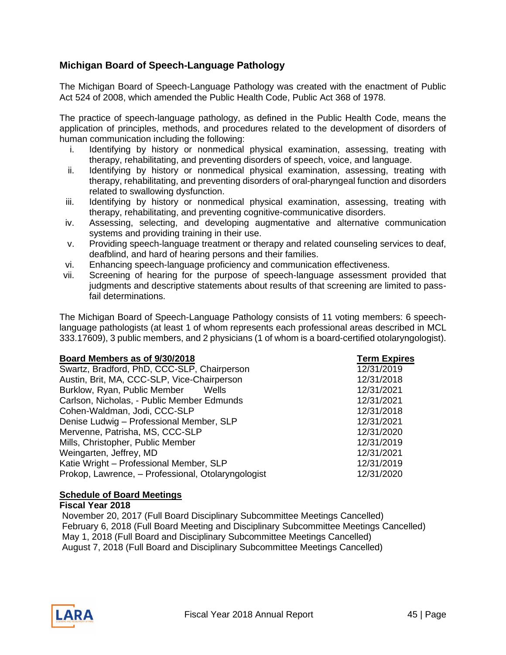### <span id="page-44-0"></span>**Michigan Board of Speech-Language Pathology**

The Michigan Board of Speech-Language Pathology was created with the enactment of Public Act 524 of 2008, which amended the Public Health Code, Public Act 368 of 1978.

The practice of speech-language pathology, as defined in the Public Health Code, means the application of principles, methods, and procedures related to the development of disorders of human communication including the following:

- i. Identifying by history or nonmedical physical examination, assessing, treating with therapy, rehabilitating, and preventing disorders of speech, voice, and language.
- ii. Identifying by history or nonmedical physical examination, assessing, treating with therapy, rehabilitating, and preventing disorders of oral-pharyngeal function and disorders related to swallowing dysfunction.
- iii. Identifying by history or nonmedical physical examination, assessing, treating with therapy, rehabilitating, and preventing cognitive-communicative disorders.
- iv. Assessing, selecting, and developing augmentative and alternative communication systems and providing training in their use.
- v. Providing speech-language treatment or therapy and related counseling services to deaf, deafblind, and hard of hearing persons and their families.
- vi. Enhancing speech-language proficiency and communication effectiveness.
- vii. Screening of hearing for the purpose of speech-language assessment provided that judgments and descriptive statements about results of that screening are limited to passfail determinations.

The Michigan Board of Speech-Language Pathology consists of 11 voting members: 6 speechlanguage pathologists (at least 1 of whom represents each professional areas described in MCL 333.17609), 3 public members, and 2 physicians (1 of whom is a board-certified otolaryngologist).

| Board Members as of 9/30/2018                      | <b>Term Expires</b> |
|----------------------------------------------------|---------------------|
| Swartz, Bradford, PhD, CCC-SLP, Chairperson        | 12/31/2019          |
| Austin, Brit, MA, CCC-SLP, Vice-Chairperson        | 12/31/2018          |
| Burklow, Ryan, Public Member Wells                 | 12/31/2021          |
| Carlson, Nicholas, - Public Member Edmunds         | 12/31/2021          |
| Cohen-Waldman, Jodi, CCC-SLP                       | 12/31/2018          |
| Denise Ludwig - Professional Member, SLP           | 12/31/2021          |
| Mervenne, Patrisha, MS, CCC-SLP                    | 12/31/2020          |
| Mills, Christopher, Public Member                  | 12/31/2019          |
| Weingarten, Jeffrey, MD                            | 12/31/2021          |
| Katie Wright - Professional Member, SLP            | 12/31/2019          |
| Prokop, Lawrence, - Professional, Otolaryngologist | 12/31/2020          |

#### **Schedule of Board Meetings**

#### **Fiscal Year 2018**

November 20, 2017 (Full Board Disciplinary Subcommittee Meetings Cancelled) February 6, 2018 (Full Board Meeting and Disciplinary Subcommittee Meetings Cancelled) May 1, 2018 (Full Board and Disciplinary Subcommittee Meetings Cancelled) August 7, 2018 (Full Board and Disciplinary Subcommittee Meetings Cancelled)

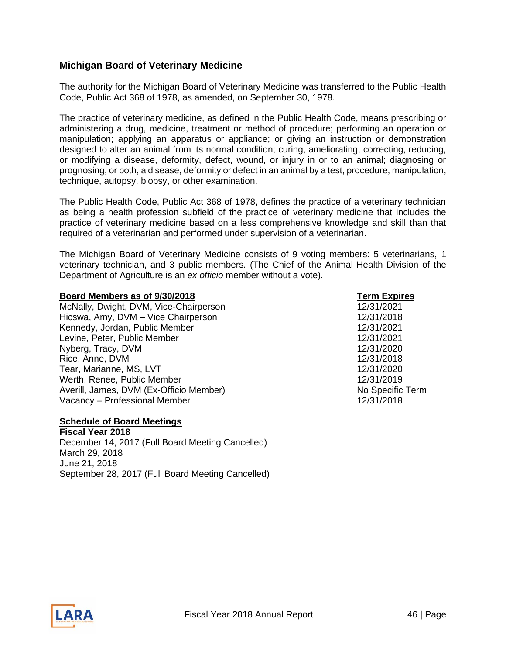#### <span id="page-45-0"></span>**Michigan Board of Veterinary Medicine**

The authority for the Michigan Board of Veterinary Medicine was transferred to the Public Health Code, Public Act 368 of 1978, as amended, on September 30, 1978.

The practice of veterinary medicine, as defined in the Public Health Code, means prescribing or administering a drug, medicine, treatment or method of procedure; performing an operation or manipulation; applying an apparatus or appliance; or giving an instruction or demonstration designed to alter an animal from its normal condition; curing, ameliorating, correcting, reducing, or modifying a disease, deformity, defect, wound, or injury in or to an animal; diagnosing or prognosing, or both, a disease, deformity or defect in an animal by a test, procedure, manipulation, technique, autopsy, biopsy, or other examination.

The Public Health Code, Public Act 368 of 1978, defines the practice of a veterinary technician as being a health profession subfield of the practice of veterinary medicine that includes the practice of veterinary medicine based on a less comprehensive knowledge and skill than that required of a veterinarian and performed under supervision of a veterinarian.

The Michigan Board of Veterinary Medicine consists of 9 voting members: 5 veterinarians, 1 veterinary technician, and 3 public members. (The Chief of the Animal Health Division of the Department of Agriculture is an *ex officio* member without a vote).

#### **Board Members as of 9/30/2018 Term Expires**

McNally, Dwight, DVM, Vice-Chairperson 12/31/2021 Hicswa, Amy, DVM – Vice Chairperson and the control of the 12/31/2018 Kennedy, Jordan, Public Member 12/31/2021 Levine, Peter, Public Member 12/31/2021 Nyberg, Tracy, DVM 12/31/2020 Rice, Anne, DVM 12/31/2018 Tear, Marianne, MS, LVT 12/31/2020 Werth, Renee, Public Member 12/31/2019 Averill, James, DVM (Ex-Officio Member) No Specific Term Vacancy – Professional Member 12/31/2018

#### **Schedule of Board Meetings**

**Fiscal Year 2018** December 14, 2017 (Full Board Meeting Cancelled) March 29, 2018 June 21, 2018 September 28, 2017 (Full Board Meeting Cancelled)



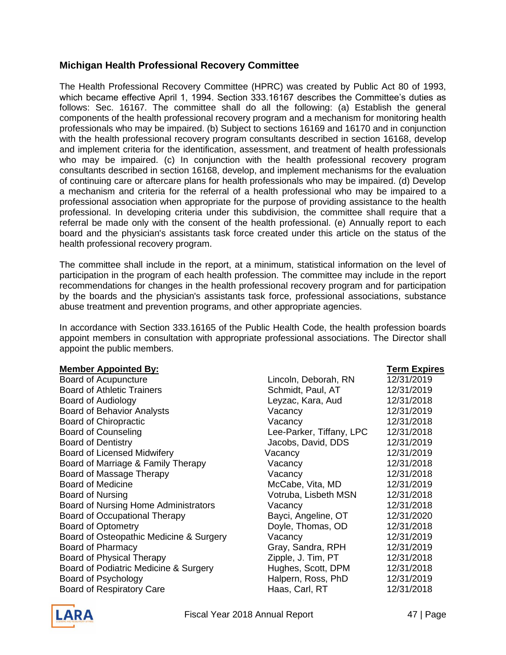#### <span id="page-46-0"></span>**Michigan Health Professional Recovery Committee**

The Health Professional Recovery Committee (HPRC) was created by Public Act 80 of 1993, which became effective April 1, 1994. Section 333.16167 describes the Committee's duties as follows: Sec. 16167. The committee shall do all the following: (a) Establish the general components of the health professional recovery program and a mechanism for monitoring health professionals who may be impaired. (b) Subject to sections 16169 and 16170 and in conjunction with the health professional recovery program consultants described in section 16168, develop and implement criteria for the identification, assessment, and treatment of health professionals who may be impaired. (c) In conjunction with the health professional recovery program consultants described in section 16168, develop, and implement mechanisms for the evaluation of continuing care or aftercare plans for health professionals who may be impaired. (d) Develop a mechanism and criteria for the referral of a health professional who may be impaired to a professional association when appropriate for the purpose of providing assistance to the health professional. In developing criteria under this subdivision, the committee shall require that a referral be made only with the consent of the health professional. (e) Annually report to each board and the physician's assistants task force created under this article on the status of the health professional recovery program.

The committee shall include in the report, at a minimum, statistical information on the level of participation in the program of each health profession. The committee may include in the report recommendations for changes in the health professional recovery program and for participation by the boards and the physician's assistants task force, professional associations, substance abuse treatment and prevention programs, and other appropriate agencies.

In accordance with Section 333.16165 of the Public Health Code, the health profession boards appoint members in consultation with appropriate professional associations. The Director shall appoint the public members.

| <b>Board of Acupuncture</b>             |  |
|-----------------------------------------|--|
| Board of Athletic Trainers              |  |
| Board of Audiology                      |  |
| <b>Board of Behavior Analysts</b>       |  |
| <b>Board of Chiropractic</b>            |  |
| <b>Board of Counseling</b>              |  |
| <b>Board of Dentistry</b>               |  |
| <b>Board of Licensed Midwifery</b>      |  |
| Board of Marriage & Family Therapy      |  |
| Board of Massage Therapy                |  |
| <b>Board of Medicine</b>                |  |
| Board of Nursing                        |  |
| Board of Nursing Home Administrators    |  |
| <b>Board of Occupational Therapy</b>    |  |
| <b>Board of Optometry</b>               |  |
| Board of Osteopathic Medicine & Surgery |  |
| Board of Pharmacy                       |  |
| Board of Physical Therapy               |  |
| Board of Podiatric Medicine & Surgery   |  |
| Board of Psychology                     |  |
| <b>Board of Respiratory Care</b>        |  |

| <b>Member Appointed By:</b>             |                          | <b>Term Expires</b> |
|-----------------------------------------|--------------------------|---------------------|
| Board of Acupuncture                    | Lincoln, Deborah, RN     | 12/31/2019          |
| <b>Board of Athletic Trainers</b>       | Schmidt, Paul, AT        | 12/31/2019          |
| Board of Audiology                      | Leyzac, Kara, Aud        | 12/31/2018          |
| <b>Board of Behavior Analysts</b>       | Vacancy                  | 12/31/2019          |
| <b>Board of Chiropractic</b>            | Vacancy                  | 12/31/2018          |
| <b>Board of Counseling</b>              | Lee-Parker, Tiffany, LPC | 12/31/2018          |
| <b>Board of Dentistry</b>               | Jacobs, David, DDS       | 12/31/2019          |
| <b>Board of Licensed Midwifery</b>      | Vacancy                  | 12/31/2019          |
| Board of Marriage & Family Therapy      | Vacancy                  | 12/31/2018          |
| Board of Massage Therapy                | Vacancy                  | 12/31/2018          |
| <b>Board of Medicine</b>                | McCabe, Vita, MD         | 12/31/2019          |
| Board of Nursing                        | Votruba, Lisbeth MSN     | 12/31/2018          |
| Board of Nursing Home Administrators    | Vacancy                  | 12/31/2018          |
| <b>Board of Occupational Therapy</b>    | Bayci, Angeline, OT      | 12/31/2020          |
| <b>Board of Optometry</b>               | Doyle, Thomas, OD        | 12/31/2018          |
| Board of Osteopathic Medicine & Surgery | Vacancy                  | 12/31/2019          |
| Board of Pharmacy                       | Gray, Sandra, RPH        | 12/31/2019          |
| Board of Physical Therapy               | Zipple, J. Tim, PT       | 12/31/2018          |
| Board of Podiatric Medicine & Surgery   | Hughes, Scott, DPM       | 12/31/2018          |
| Board of Psychology                     | Halpern, Ross, PhD       | 12/31/2019          |
| <b>Board of Respiratory Care</b>        | Haas, Carl, RT           | 12/31/2018          |

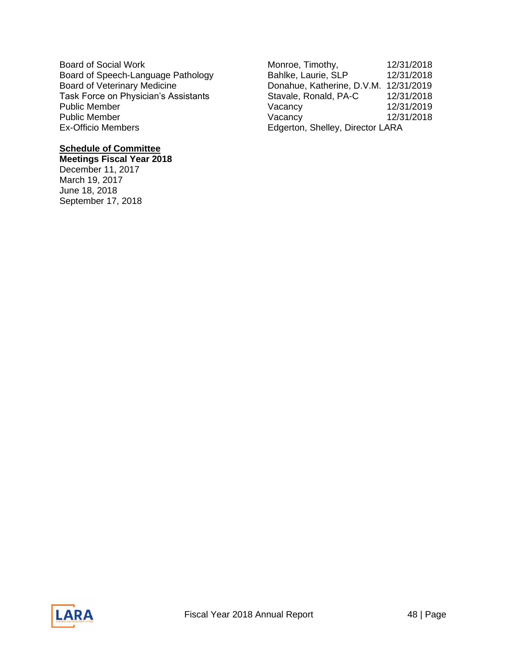Board of Social Work Monroe, Timothy, 12/31/2018<br>Board of Speech-Language Pathology Bahlke, Laurie, SLP 12/31/2018 Ex-Officio Members **Ex-Officio Members** Edgerton, Shelley, Director LARA

#### **Schedule of Committee**

**Meetings Fiscal Year 2018** December 11, 2017 March 19, 2017 June 18, 2018 September 17, 2018

Board of Speech-Language Pathology Bahlke, Laurie, SLP 12/31/2018 Board of Veterinary Medicine<br>
Task Force on Physician's Assistants<br>
Gavale, Ronald, PA-C 12/31/2018 Task Force on Physician's Assistants Stavale, Ronald, PA-C 12/31/2018 Public Member Vacancy 12/31/2019 Public Member **12/31/2018** Vacancy 12/31/2018

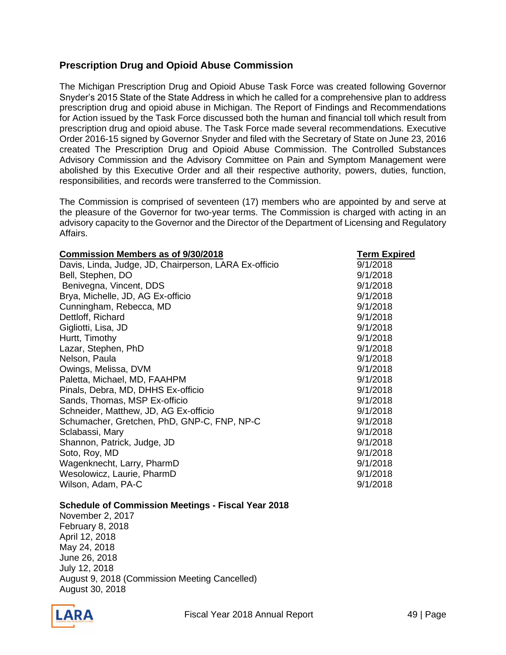#### <span id="page-48-0"></span>**Prescription Drug and Opioid Abuse Commission**

The Michigan Prescription Drug and Opioid Abuse Task Force was created following Governor Snyder's 2015 State of the State Address in which he called for a comprehensive plan to address prescription drug and opioid abuse in Michigan. The Report of Findings and Recommendations for Action issued by the Task Force discussed both the human and financial toll which result from prescription drug and opioid abuse. The Task Force made several recommendations. Executive Order 2016-15 signed by Governor Snyder and filed with the Secretary of State on June 23, 2016 created The Prescription Drug and Opioid Abuse Commission. The Controlled Substances Advisory Commission and the Advisory Committee on Pain and Symptom Management were abolished by this Executive Order and all their respective authority, powers, duties, function, responsibilities, and records were transferred to the Commission.

The Commission is comprised of seventeen (17) members who are appointed by and serve at the pleasure of the Governor for two-year terms. The Commission is charged with acting in an advisory capacity to the Governor and the Director of the Department of Licensing and Regulatory Affairs.

| <b>Commission Members as of 9/30/2018</b>             | <b>Term Expired</b> |  |  |
|-------------------------------------------------------|---------------------|--|--|
| Davis, Linda, Judge, JD, Chairperson, LARA Ex-officio | 9/1/2018            |  |  |
| Bell, Stephen, DO                                     | 9/1/2018            |  |  |
| Benivegna, Vincent, DDS                               | 9/1/2018            |  |  |
| Brya, Michelle, JD, AG Ex-officio                     | 9/1/2018            |  |  |
| Cunningham, Rebecca, MD                               | 9/1/2018            |  |  |
| Dettloff, Richard                                     | 9/1/2018            |  |  |
| Gigliotti, Lisa, JD                                   | 9/1/2018            |  |  |
| Hurtt, Timothy                                        | 9/1/2018            |  |  |
| Lazar, Stephen, PhD                                   | 9/1/2018            |  |  |
| Nelson, Paula                                         | 9/1/2018            |  |  |
| Owings, Melissa, DVM                                  | 9/1/2018            |  |  |
| Paletta, Michael, MD, FAAHPM                          | 9/1/2018            |  |  |
| Pinals, Debra, MD, DHHS Ex-officio                    | 9/1/2018            |  |  |
| Sands, Thomas, MSP Ex-officio                         | 9/1/2018            |  |  |
| Schneider, Matthew, JD, AG Ex-officio                 | 9/1/2018            |  |  |
| Schumacher, Gretchen, PhD, GNP-C, FNP, NP-C           | 9/1/2018            |  |  |
| Sclabassi, Mary                                       | 9/1/2018            |  |  |
| Shannon, Patrick, Judge, JD                           | 9/1/2018            |  |  |
| Soto, Roy, MD                                         | 9/1/2018            |  |  |
| Wagenknecht, Larry, PharmD                            | 9/1/2018            |  |  |
| Wesolowicz, Laurie, PharmD                            | 9/1/2018            |  |  |
| Wilson, Adam, PA-C                                    | 9/1/2018            |  |  |

#### **Schedule of Commission Meetings - Fiscal Year 2018**

November 2, 2017 February 8, 2018 April 12, 2018 May 24, 2018 June 26, 2018 July 12, 2018 August 9, 2018 (Commission Meeting Cancelled) August 30, 2018

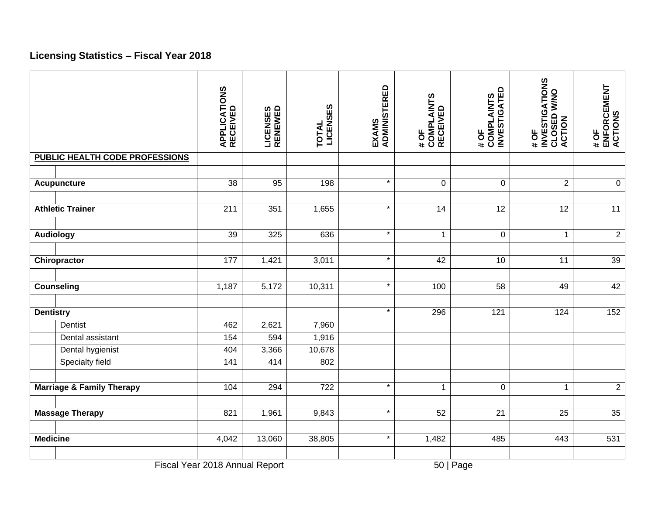# **Licensing Statistics – Fiscal Year 2018**

<span id="page-49-0"></span>

|                                      | <b>APPLICATIONS<br/>RECEIVED</b> | <b>LICENSES<br/>RENEWED</b> | TOTAL<br>LICENSES | EXAMS<br>ADMINISTERED | # OF<br>COMPLAINTS<br>RECEIVED | <b>COMPLAINTS<br/>INVESTIGATED</b><br>#OF | <b>INVESTIGATIONS</b><br>CLOSED W/NO<br><b>ACTION</b><br>#OF | # OF<br>ENFORCEMENT<br>ACTIONS |
|--------------------------------------|----------------------------------|-----------------------------|-------------------|-----------------------|--------------------------------|-------------------------------------------|--------------------------------------------------------------|--------------------------------|
| PUBLIC HEALTH CODE PROFESSIONS       |                                  |                             |                   |                       |                                |                                           |                                                              |                                |
|                                      |                                  |                             |                   |                       |                                |                                           |                                                              |                                |
| <b>Acupuncture</b>                   | 38                               | 95                          | 198               | $\star$               | 0                              | $\mathbf 0$                               | $\overline{2}$                                               | $\mathbf 0$                    |
|                                      |                                  |                             |                   |                       |                                |                                           |                                                              |                                |
| <b>Athletic Trainer</b>              | 211                              | 351                         | 1,655             | $\star$               | 14                             | 12                                        | 12                                                           | 11                             |
|                                      |                                  |                             |                   |                       |                                |                                           |                                                              |                                |
| <b>Audiology</b>                     | 39                               | 325                         | 636               | $\star$               | $\mathbf{1}$                   | $\pmb{0}$                                 | $\mathbf 1$                                                  | $\overline{2}$                 |
|                                      |                                  |                             |                   |                       |                                |                                           |                                                              |                                |
| Chiropractor                         | 177                              | 1,421                       | 3,011             | $\star$               | 42                             | 10                                        | 11                                                           | 39                             |
|                                      |                                  |                             |                   |                       |                                |                                           |                                                              |                                |
| <b>Counseling</b>                    | 1,187                            | 5,172                       | 10,311            | $\star$               | 100                            | 58                                        | 49                                                           | 42                             |
|                                      |                                  |                             |                   |                       |                                |                                           |                                                              |                                |
| <b>Dentistry</b>                     |                                  |                             |                   | $\star$               | 296                            | 121                                       | 124                                                          | 152                            |
| Dentist                              | 462                              | 2,621                       | 7,960             |                       |                                |                                           |                                                              |                                |
| Dental assistant                     | 154                              | 594                         | 1,916             |                       |                                |                                           |                                                              |                                |
| Dental hygienist                     | 404                              | 3,366                       | 10,678            |                       |                                |                                           |                                                              |                                |
| <b>Specialty field</b>               | 141                              | 414                         | 802               |                       |                                |                                           |                                                              |                                |
|                                      |                                  |                             |                   |                       |                                |                                           |                                                              |                                |
| <b>Marriage &amp; Family Therapy</b> | 104                              | 294                         | $\overline{722}$  | $\star$               | $\mathbf{1}$                   | $\mathbf 0$                               | $\mathbf{1}$                                                 | $\overline{2}$                 |
| <b>Massage Therapy</b>               | 821                              | 1,961                       | 9,843             | $\star$               | 52                             | 21                                        | 25                                                           | 35                             |
| <b>Medicine</b>                      | 4,042                            | 13,060                      | 38,805            | $\star$               | 1,482                          | 485                                       | 443                                                          | 531                            |
|                                      |                                  |                             |                   |                       |                                |                                           |                                                              |                                |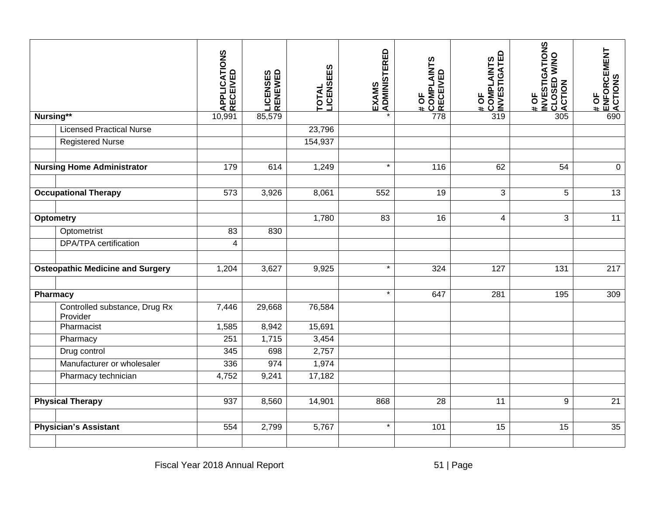|                                           | <b>APPLICATIONS<br/>RECEIVED</b> | <b>LICENSES<br/>RENEWED</b> | <b>LICENSEES</b><br><b>TOTAL</b> | EXAMS<br> ADMINISTERED | # OF<br> COMPLAINTS<br> RECEIVED | <b>COMPLAINTS<br/>INVESTIGATED</b><br># OF | <b>INVESTIGATIONS</b><br>CLOSED W/NO<br>ACTION<br>#OF | <b>ENFORCEMENT<br/>ACTIONS</b><br>#OF |
|-------------------------------------------|----------------------------------|-----------------------------|----------------------------------|------------------------|----------------------------------|--------------------------------------------|-------------------------------------------------------|---------------------------------------|
| Nursing**                                 | 10,991                           | 85,579                      |                                  |                        | 778                              | 319                                        | 305                                                   | 690                                   |
| <b>Licensed Practical Nurse</b>           |                                  |                             | 23,796                           |                        |                                  |                                            |                                                       |                                       |
| <b>Registered Nurse</b>                   |                                  |                             | 154,937                          |                        |                                  |                                            |                                                       |                                       |
|                                           |                                  |                             |                                  |                        |                                  |                                            |                                                       |                                       |
| <b>Nursing Home Administrator</b>         | 179                              | 614                         | 1,249                            | $\star$                | 116                              | 62                                         | 54                                                    | $\mathbf 0$                           |
|                                           |                                  |                             |                                  |                        |                                  |                                            |                                                       |                                       |
| <b>Occupational Therapy</b>               | 573                              | 3,926                       | 8,061                            | 552                    | 19                               | 3                                          | $\overline{5}$                                        | $\overline{13}$                       |
|                                           |                                  |                             |                                  |                        |                                  |                                            |                                                       |                                       |
| <b>Optometry</b>                          |                                  |                             | 1,780                            | 83                     | 16                               | 4                                          | 3                                                     | 11                                    |
| Optometrist                               | 83                               | 830                         |                                  |                        |                                  |                                            |                                                       |                                       |
| <b>DPA/TPA</b> certification              | 4                                |                             |                                  |                        |                                  |                                            |                                                       |                                       |
|                                           |                                  |                             |                                  |                        |                                  |                                            |                                                       |                                       |
| <b>Osteopathic Medicine and Surgery</b>   | 1,204                            | 3,627                       | 9,925                            | $\star$                | 324                              | 127                                        | 131                                                   | 217                                   |
|                                           |                                  |                             |                                  |                        |                                  |                                            |                                                       |                                       |
| <b>Pharmacy</b>                           |                                  |                             |                                  | $\star$                | 647                              | 281                                        | 195                                                   | 309                                   |
| Controlled substance, Drug Rx<br>Provider | 7,446                            | 29,668                      | 76,584                           |                        |                                  |                                            |                                                       |                                       |
| Pharmacist                                | 1,585                            | 8,942                       | 15,691                           |                        |                                  |                                            |                                                       |                                       |
| Pharmacy                                  | 251                              | 1,715                       | 3,454                            |                        |                                  |                                            |                                                       |                                       |
| Drug control                              | 345                              | 698                         | 2,757                            |                        |                                  |                                            |                                                       |                                       |
| Manufacturer or wholesaler                | 336                              | 974                         | 1,974                            |                        |                                  |                                            |                                                       |                                       |
| Pharmacy technician                       | 4,752                            | 9,241                       | 17,182                           |                        |                                  |                                            |                                                       |                                       |
|                                           |                                  |                             |                                  |                        |                                  |                                            |                                                       |                                       |
| <b>Physical Therapy</b>                   | 937                              | 8,560                       | 14,901                           | 868                    | $\overline{28}$                  | $\overline{11}$                            | $\boldsymbol{9}$                                      | $\overline{21}$                       |
| <b>Physician's Assistant</b>              | 554                              | 2,799                       | 5,767                            | $\star$                | 101                              | 15                                         | 15                                                    | 35                                    |
|                                           |                                  |                             |                                  |                        |                                  |                                            |                                                       |                                       |
|                                           | Fiscal Year 2018 Annual Report   |                             |                                  |                        |                                  | $51$   Page                                |                                                       |                                       |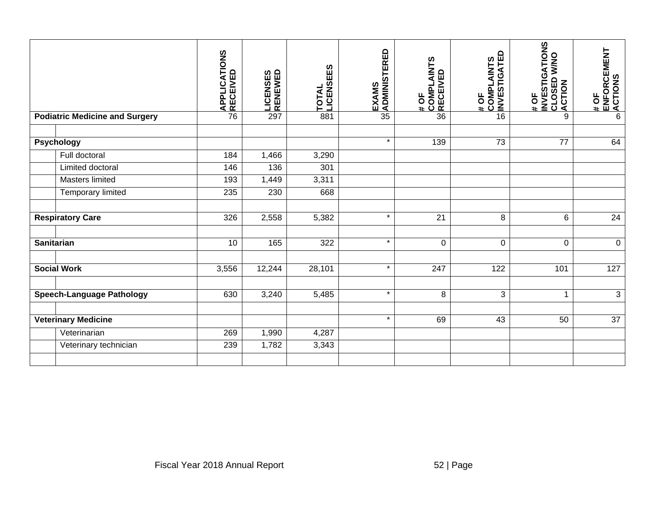|                                |                                       | APPLICATIONS<br>RECEIVED | LICENSES<br>RENEWED | <b>LICENSEES</b><br>TOTAL | <b>EXAMS<br/>ADMINISTERED</b> | COMPLAINTS<br>RECEIVED<br># OF | COMPLAINTS<br>INVESTIGATED<br># OF | INVESTIGATIONS<br>CLOSED W/NO<br>, ACTION<br># OF | ENFORCEMENT<br><b>ACTIONS</b><br>$\frac{4}{3}$ |
|--------------------------------|---------------------------------------|--------------------------|---------------------|---------------------------|-------------------------------|--------------------------------|------------------------------------|---------------------------------------------------|------------------------------------------------|
|                                | <b>Podiatric Medicine and Surgery</b> | 76                       | 297                 | 881                       | $\overline{35}$               | 36                             | 16                                 | 9                                                 | $\overline{6}$                                 |
|                                | <b>Psychology</b>                     |                          |                     |                           | $\star$                       | 139                            | $\overline{73}$                    | 77                                                | 64                                             |
|                                | Full doctoral                         | 184                      | 1,466               | 3,290                     |                               |                                |                                    |                                                   |                                                |
|                                | Limited doctoral                      | 146                      | 136                 | 301                       |                               |                                |                                    |                                                   |                                                |
|                                | <b>Masters limited</b>                | 193                      | 1,449               | 3,311                     |                               |                                |                                    |                                                   |                                                |
|                                | Temporary limited                     | 235                      | 230                 | 668                       |                               |                                |                                    |                                                   |                                                |
|                                |                                       |                          |                     |                           |                               |                                |                                    |                                                   |                                                |
|                                | <b>Respiratory Care</b>               | 326                      | 2,558               | 5,382                     | $\star$                       | $\overline{21}$                | $\overline{8}$                     | $\overline{6}$                                    | 24                                             |
| <b>Sanitarian</b>              |                                       | 10                       | 165                 | 322                       | $\star$                       | $\pmb{0}$                      | $\pmb{0}$                          | $\pmb{0}$                                         | $\mathbf 0$                                    |
|                                | <b>Social Work</b>                    | 3,556                    | 12,244              | 28,101                    | $\star$                       | 247                            | $\overline{122}$                   | 101                                               | $\overline{127}$                               |
|                                | <b>Speech-Language Pathology</b>      | 630                      | 3,240               | 5,485                     | $\star$                       | 8                              | 3                                  | $\mathbf{1}$                                      | $\sqrt{3}$                                     |
|                                | <b>Veterinary Medicine</b>            |                          |                     |                           | $\star$                       | 69                             | 43                                 | 50                                                | 37                                             |
|                                | Veterinarian                          | 269                      | 1,990               | 4,287                     |                               |                                |                                    |                                                   |                                                |
|                                | Veterinary technician                 | 239                      | 1,782               | 3,343                     |                               |                                |                                    |                                                   |                                                |
|                                |                                       |                          |                     |                           |                               |                                |                                    |                                                   |                                                |
| Fiscal Year 2018 Annual Report |                                       |                          |                     |                           |                               |                                | 52   Page                          |                                                   |                                                |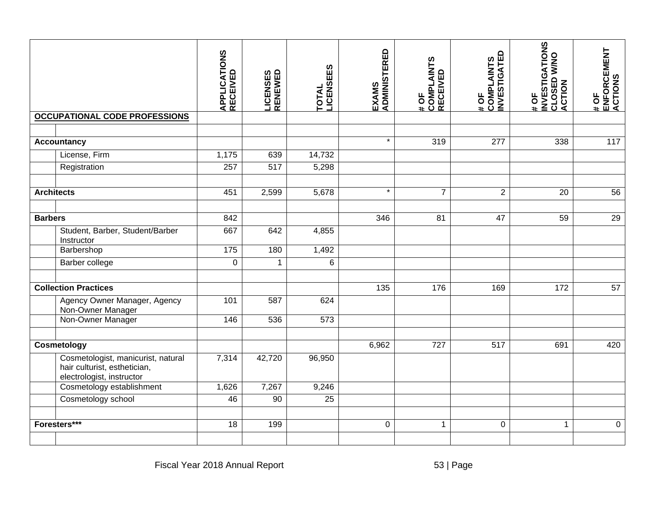|                             |                                                                                                 | <b>APPLICATIONS<br/>RECEIVED</b> | <b>LICENSES<br/>RENEWED</b> | <b>LICENSEES</b><br>TOTAL | EXAMS<br> ADMINISTERED | # OF<br>COMPLAINTS<br>RECEIVED | <b>INVESTIGATED</b><br>COMPLAINTS<br>#OF | <b>INVESTIGATIONS</b><br>CLOSED W/NO<br>ACTION<br># OF | ENFORCEMENT<br>ACTIONS<br>#OF |
|-----------------------------|-------------------------------------------------------------------------------------------------|----------------------------------|-----------------------------|---------------------------|------------------------|--------------------------------|------------------------------------------|--------------------------------------------------------|-------------------------------|
|                             | <b>OCCUPATIONAL CODE PROFESSIONS</b>                                                            |                                  |                             |                           |                        |                                |                                          |                                                        |                               |
|                             |                                                                                                 |                                  |                             |                           | $\star$                |                                |                                          |                                                        |                               |
|                             | <b>Accountancy</b>                                                                              |                                  |                             |                           |                        | 319                            | 277                                      | 338                                                    | 117                           |
|                             | License, Firm                                                                                   | 1,175                            | 639                         | 14,732                    |                        |                                |                                          |                                                        |                               |
|                             | Registration                                                                                    | 257                              | 517                         | 5,298                     |                        |                                |                                          |                                                        |                               |
| <b>Architects</b>           |                                                                                                 | 451                              | 2,599                       | 5,678                     | $\star$                | $\overline{7}$                 | $\overline{2}$                           | 20                                                     | 56                            |
|                             |                                                                                                 |                                  |                             |                           |                        |                                |                                          |                                                        |                               |
| <b>Barbers</b>              |                                                                                                 | 842                              |                             |                           | 346                    | $\overline{81}$                | 47                                       | 59                                                     | 29                            |
|                             | Student, Barber, Student/Barber<br>Instructor                                                   | 667                              | 642                         | 4,855                     |                        |                                |                                          |                                                        |                               |
|                             | Barbershop                                                                                      | $\frac{175}{175}$                | 180                         | 1,492                     |                        |                                |                                          |                                                        |                               |
|                             | Barber college                                                                                  | 0                                | 1                           | 6                         |                        |                                |                                          |                                                        |                               |
| <b>Collection Practices</b> |                                                                                                 |                                  |                             |                           | 135                    | 176                            | 169                                      | 172                                                    | 57                            |
|                             | Agency Owner Manager, Agency<br>Non-Owner Manager                                               | 101                              | 587                         | 624                       |                        |                                |                                          |                                                        |                               |
|                             | Non-Owner Manager                                                                               | 146                              | 536                         | 573                       |                        |                                |                                          |                                                        |                               |
|                             |                                                                                                 |                                  |                             |                           |                        |                                |                                          |                                                        |                               |
|                             | Cosmetology                                                                                     |                                  |                             |                           | 6,962                  | 727                            | 517                                      | 691                                                    | 420                           |
|                             | Cosmetologist, manicurist, natural<br>hair culturist, esthetician,<br>electrologist, instructor | 7,314                            | 42,720                      | 96,950                    |                        |                                |                                          |                                                        |                               |
|                             | Cosmetology establishment                                                                       | 1,626                            | 7,267                       | 9,246                     |                        |                                |                                          |                                                        |                               |
|                             | Cosmetology school                                                                              | 46                               | 90                          | 25                        |                        |                                |                                          |                                                        |                               |
| Foresters***                |                                                                                                 | $\overline{18}$                  | 199                         |                           | $\mathbf 0$            | $\mathbf{1}$                   | $\pmb{0}$                                | $\mathbf{1}$                                           | $\pmb{0}$                     |
|                             |                                                                                                 |                                  |                             |                           |                        |                                |                                          |                                                        |                               |
|                             |                                                                                                 | Fiscal Year 2018 Annual Report   |                             |                           |                        |                                | 53   Page                                |                                                        |                               |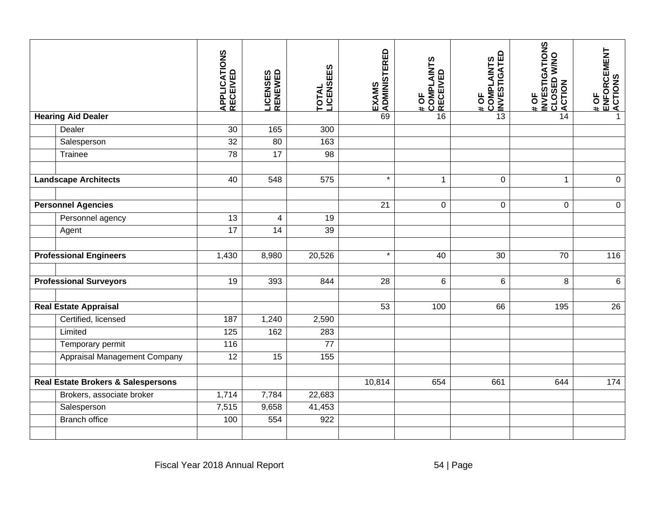|                                               |                                             | APPLICATIONS<br><b>RECEIVED</b> | <b>LICENSES<br/>RENEWED</b> | <b>LICENSEES</b><br><b>TOTAL</b> | EXAMS<br> ADMINISTERED | # OF<br>COMPLAINTS<br>; RECEIVED | <b>COMPLAINTS<br/>INVESTIGATED</b><br>#OF | <b>INVESTIGATIONS</b><br>CLOSED W/NO<br># OF | ENFORCEMENT<br>ACTIONS<br>$\frac{4}{3}$ |
|-----------------------------------------------|---------------------------------------------|---------------------------------|-----------------------------|----------------------------------|------------------------|----------------------------------|-------------------------------------------|----------------------------------------------|-----------------------------------------|
|                                               | <b>Hearing Aid Dealer</b>                   |                                 |                             |                                  | 69                     | 16                               | 13                                        | 14                                           | $\mathbf 1$                             |
|                                               | Dealer                                      | 30                              | 165                         | 300                              |                        |                                  |                                           |                                              |                                         |
|                                               | Salesperson                                 | $\overline{32}$                 | 80                          | 163                              |                        |                                  |                                           |                                              |                                         |
|                                               | Trainee                                     | $\overline{78}$                 | $\overline{17}$             | $\overline{98}$                  |                        |                                  |                                           |                                              |                                         |
| <b>Landscape Architects</b>                   |                                             | 40                              | 548                         | 575                              | $\star$                | $\mathbf{1}$                     | $\mathbf 0$                               | $\mathbf{1}$                                 | $\mathbf 0$                             |
|                                               | <b>Personnel Agencies</b>                   |                                 |                             |                                  | 21                     | 0                                | $\pmb{0}$                                 | $\pmb{0}$                                    | $\pmb{0}$                               |
|                                               | Personnel agency                            | 13                              | 4                           | 19                               |                        |                                  |                                           |                                              |                                         |
|                                               | Agent                                       | $\overline{17}$                 | 14                          | 39                               |                        |                                  |                                           |                                              |                                         |
| <b>Professional Engineers</b>                 |                                             | 1,430                           | 8,980                       | 20,526                           | $\star$                | 40                               | $\overline{30}$                           | $\overline{70}$                              | 116                                     |
| <b>Professional Surveyors</b>                 |                                             | 19                              | 393                         | 844                              | 28                     | $\,6$                            | $\,6$                                     | $\bf 8$                                      | $\,6\,$                                 |
|                                               | <b>Real Estate Appraisal</b>                |                                 |                             |                                  | 53                     | 100                              | 66                                        | 195                                          | $\overline{26}$                         |
|                                               | Certified, licensed                         | 187                             | 1,240                       | 2,590                            |                        |                                  |                                           |                                              |                                         |
|                                               | Limited                                     | 125                             | 162                         | 283                              |                        |                                  |                                           |                                              |                                         |
|                                               | Temporary permit                            | 116                             |                             | $\overline{77}$                  |                        |                                  |                                           |                                              |                                         |
|                                               | Appraisal Management Company                | $\overline{12}$                 | 15                          | $\overline{155}$                 |                        |                                  |                                           |                                              |                                         |
| <b>Real Estate Brokers &amp; Salespersons</b> |                                             |                                 |                             |                                  | 10,814                 | 654                              | 661                                       | 644                                          | 174                                     |
|                                               | Brokers, associate broker                   | 1,714                           | 7,784                       | 22,683                           |                        |                                  |                                           |                                              |                                         |
|                                               | Salesperson                                 | 7,515                           | 9,658                       | 41,453                           |                        |                                  |                                           |                                              |                                         |
|                                               | <b>Branch office</b>                        | 100                             | 554                         | 922                              |                        |                                  |                                           |                                              |                                         |
|                                               | Fiscal Year 2018 Annual Report<br>54   Page |                                 |                             |                                  |                        |                                  |                                           |                                              |                                         |